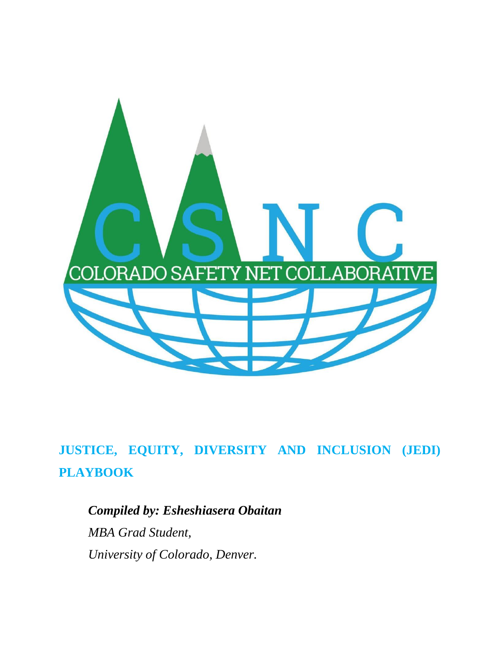

# **JUSTICE, EQUITY, DIVERSITY AND INCLUSION (JEDI) PLAYBOOK**

*Compiled by: Esheshiasera Obaitan MBA Grad Student, University of Colorado, Denver.*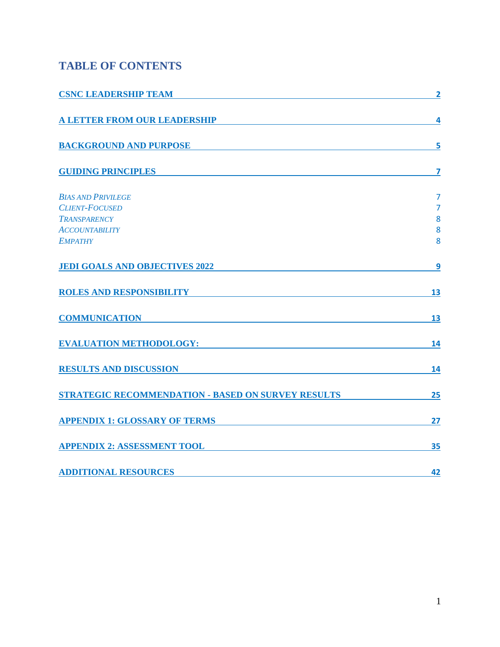## **TABLE OF CONTENTS**

<span id="page-1-0"></span>

| <b>CSNC LEADERSHIP TEAM</b>                               | $\overline{2}$          |
|-----------------------------------------------------------|-------------------------|
| <b>A LETTER FROM OUR LEADERSHIP</b>                       | 4                       |
| <b>BACKGROUND AND PURPOSE</b>                             | 5                       |
| <b>GUIDING PRINCIPLES</b>                                 | $\overline{\mathbf{z}}$ |
| <b>BIAS AND PRIVILEGE</b>                                 | $\overline{7}$          |
| <b>CLIENT-FOCUSED</b>                                     | $\overline{7}$          |
| <b>TRANSPARENCY</b><br><b>ACCOUNTABILITY</b>              | 8<br>8                  |
| <b>EMPATHY</b>                                            | 8                       |
| <b>JEDI GOALS AND OBJECTIVES 2022</b>                     | 9                       |
| <b>ROLES AND RESPONSIBILITY</b>                           | 13                      |
| <b>COMMUNICATION</b>                                      | 13                      |
| <b>EVALUATION METHODOLOGY:</b>                            | 14                      |
| <b>RESULTS AND DISCUSSION</b>                             | 14                      |
| <b>STRATEGIC RECOMMENDATION - BASED ON SURVEY RESULTS</b> | 25                      |
| <b>APPENDIX 1: GLOSSARY OF TERMS</b>                      | 27                      |
| <b>APPENDIX 2: ASSESSMENT TOOL</b>                        | 35                      |
| <b>ADDITIONAL RESOURCES</b>                               | 42                      |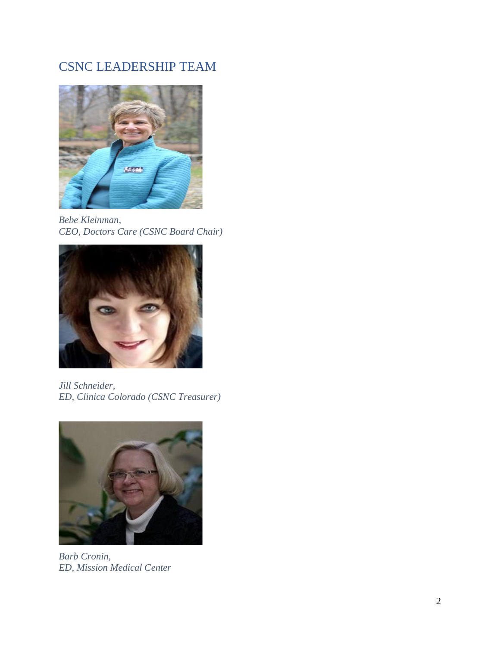## CSNC LEADERSHIP TEAM



*Bebe Kleinman, CEO, Doctors Care (CSNC Board Chair)*



*Jill Schneider, ED, Clinica Colorado (CSNC Treasurer)*



*Barb Cronin, ED, Mission Medical Center*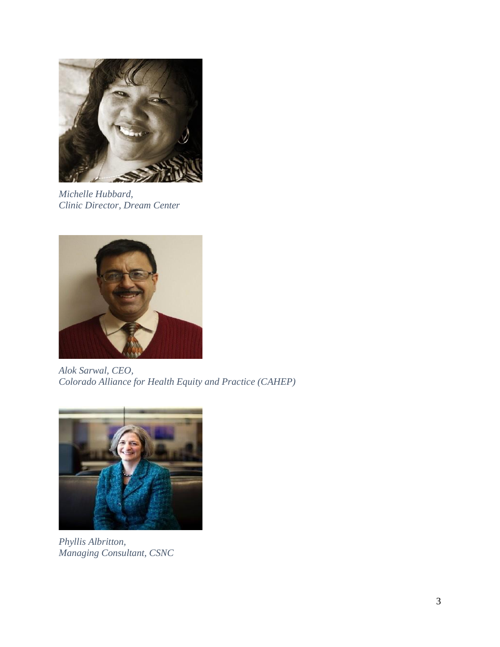

*Michelle Hubbard, Clinic Director, Dream Center*



*Alok Sarwal, CEO, Colorado Alliance for Health Equity and Practice (CAHEP)*



*Phyllis Albritton, Managing Consultant, CSNC*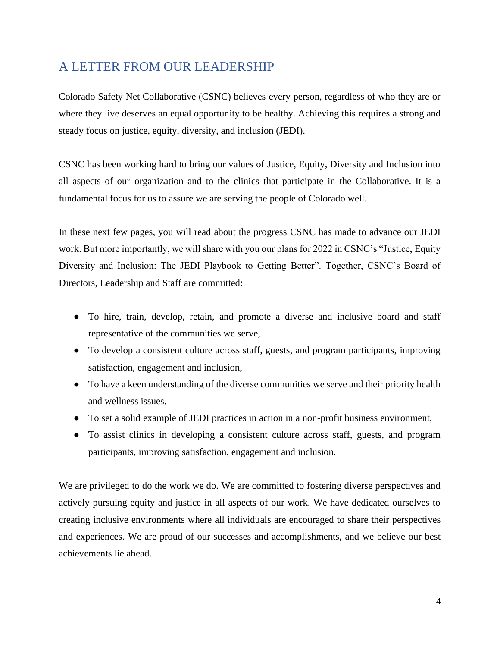## <span id="page-4-0"></span>A LETTER FROM OUR LEADERSHIP

Colorado Safety Net Collaborative (CSNC) believes every person, regardless of who they are or where they live deserves an equal opportunity to be healthy. Achieving this requires a strong and steady focus on justice, equity, diversity, and inclusion (JEDI).

CSNC has been working hard to bring our values of Justice, Equity, Diversity and Inclusion into all aspects of our organization and to the clinics that participate in the Collaborative. It is a fundamental focus for us to assure we are serving the people of Colorado well.

In these next few pages, you will read about the progress CSNC has made to advance our JEDI work. But more importantly, we will share with you our plans for 2022 in CSNC's "Justice, Equity Diversity and Inclusion: The JEDI Playbook to Getting Better". Together, CSNC's Board of Directors, Leadership and Staff are committed:

- To hire, train, develop, retain, and promote a diverse and inclusive board and staff representative of the communities we serve,
- To develop a consistent culture across staff, guests, and program participants, improving satisfaction, engagement and inclusion,
- To have a keen understanding of the diverse communities we serve and their priority health and wellness issues,
- To set a solid example of JEDI practices in action in a non-profit business environment,
- To assist clinics in developing a consistent culture across staff, guests, and program participants, improving satisfaction, engagement and inclusion.

We are privileged to do the work we do. We are committed to fostering diverse perspectives and actively pursuing equity and justice in all aspects of our work. We have dedicated ourselves to creating inclusive environments where all individuals are encouraged to share their perspectives and experiences. We are proud of our successes and accomplishments, and we believe our best achievements lie ahead.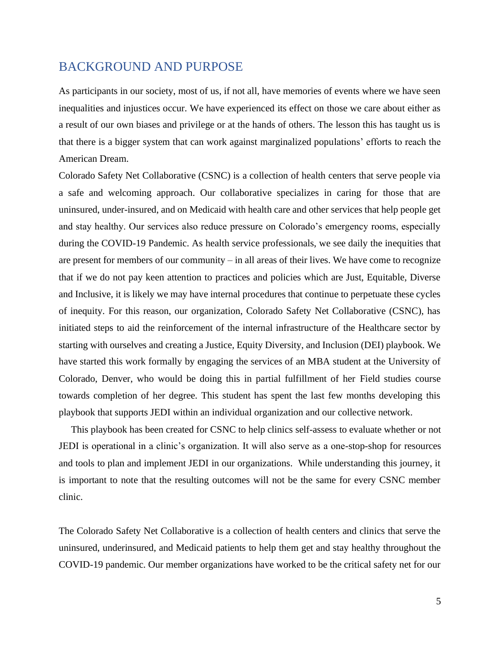### <span id="page-5-0"></span>BACKGROUND AND PURPOSE

As participants in our society, most of us, if not all, have memories of events where we have seen inequalities and injustices occur. We have experienced its effect on those we care about either as a result of our own biases and privilege or at the hands of others. The lesson this has taught us is that there is a bigger system that can work against marginalized populations' efforts to reach the American Dream.

Colorado Safety Net Collaborative (CSNC) is a collection of health centers that serve people via a safe and welcoming approach. Our collaborative specializes in caring for those that are uninsured, under-insured, and on Medicaid with health care and other services that help people get and stay healthy. Our services also reduce pressure on Colorado's emergency rooms, especially during the COVID-19 Pandemic. As health service professionals, we see daily the inequities that are present for members of our community – in all areas of their lives. We have come to recognize that if we do not pay keen attention to practices and policies which are Just, Equitable, Diverse and Inclusive, it is likely we may have internal procedures that continue to perpetuate these cycles of inequity. For this reason, our organization, Colorado Safety Net Collaborative (CSNC), has initiated steps to aid the reinforcement of the internal infrastructure of the Healthcare sector by starting with ourselves and creating a Justice, Equity Diversity, and Inclusion (DEI) playbook. We have started this work formally by engaging the services of an MBA student at the University of Colorado, Denver, who would be doing this in partial fulfillment of her Field studies course towards completion of her degree. This student has spent the last few months developing this playbook that supports JEDI within an individual organization and our collective network.

 This playbook has been created for CSNC to help clinics self-assess to evaluate whether or not JEDI is operational in a clinic's organization. It will also serve as a one-stop-shop for resources and tools to plan and implement JEDI in our organizations. While understanding this journey, it is important to note that the resulting outcomes will not be the same for every CSNC member clinic.

The Colorado Safety Net Collaborative is a collection of health centers and clinics that serve the uninsured, underinsured, and Medicaid patients to help them get and stay healthy throughout the COVID-19 pandemic. Our member organizations have worked to be the critical safety net for our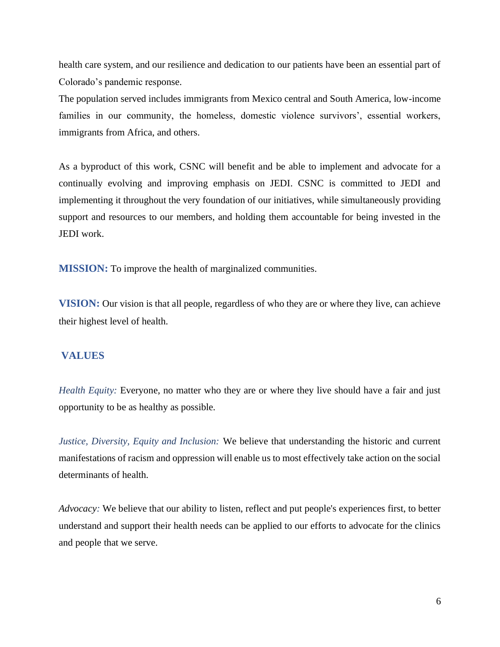health care system, and our resilience and dedication to our patients have been an essential part of Colorado's pandemic response.

The population served includes immigrants from Mexico central and South America, low-income families in our community, the homeless, domestic violence survivors', essential workers, immigrants from Africa, and others.

As a byproduct of this work, CSNC will benefit and be able to implement and advocate for a continually evolving and improving emphasis on JEDI. CSNC is committed to JEDI and implementing it throughout the very foundation of our initiatives, while simultaneously providing support and resources to our members, and holding them accountable for being invested in the JEDI work.

**MISSION:** To improve the health of marginalized communities.

**VISION:** Our vision is that all people, regardless of who they are or where they live, can achieve their highest level of health.

#### **VALUES**

*Health Equity:* Everyone, no matter who they are or where they live should have a fair and just opportunity to be as healthy as possible.

*Justice, Diversity, Equity and Inclusion:* We believe that understanding the historic and current manifestations of racism and oppression will enable us to most effectively take action on the social determinants of health.

*Advocacy:* We believe that our ability to listen, reflect and put people's experiences first, to better understand and support their health needs can be applied to our efforts to advocate for the clinics and people that we serve.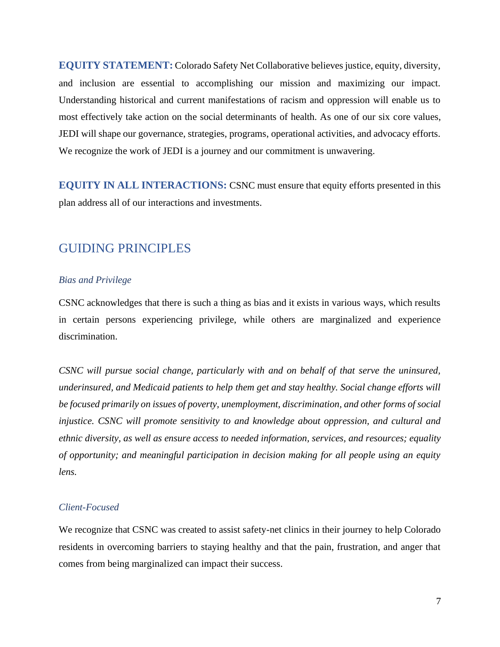**EQUITY STATEMENT:** Colorado Safety Net Collaborative believes justice, equity, diversity, and inclusion are essential to accomplishing our mission and maximizing our impact. Understanding historical and current manifestations of racism and oppression will enable us to most effectively take action on the social determinants of health. As one of our six core values, JEDI will shape our governance, strategies, programs, operational activities, and advocacy efforts. We recognize the work of JEDI is a journey and our commitment is unwavering.

**EQUITY IN ALL INTERACTIONS:** CSNC must ensure that equity efforts presented in this plan address all of our interactions and investments.

### <span id="page-7-0"></span>GUIDING PRINCIPLES

#### <span id="page-7-1"></span>*Bias and Privilege*

CSNC acknowledges that there is such a thing as bias and it exists in various ways, which results in certain persons experiencing privilege, while others are marginalized and experience discrimination.

*CSNC will pursue social change, particularly with and on behalf of that serve the uninsured, underinsured, and Medicaid patients to help them get and stay healthy. Social change efforts will be focused primarily on issues of poverty, unemployment, discrimination, and other forms of social injustice. CSNC will promote sensitivity to and knowledge about oppression, and cultural and ethnic diversity, as well as ensure access to needed information, services, and resources; equality of opportunity; and meaningful participation in decision making for all people using an equity lens.*

#### <span id="page-7-2"></span>*Client-Focused*

We recognize that CSNC was created to assist safety-net clinics in their journey to help Colorado residents in overcoming barriers to staying healthy and that the pain, frustration, and anger that comes from being marginalized can impact their success.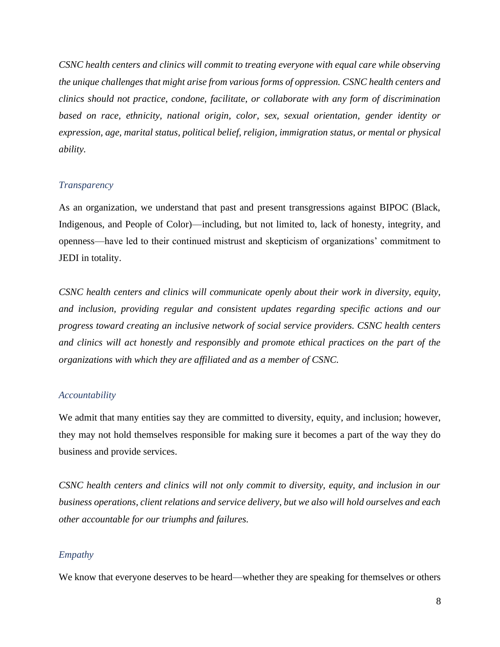*CSNC health centers and clinics will commit to treating everyone with equal care while observing the unique challenges that might arise from various forms of oppression. CSNC health centers and clinics should not practice, condone, facilitate, or collaborate with any form of discrimination based on race, ethnicity, national origin, color, sex, sexual orientation, gender identity or expression, age, marital status, political belief, religion, immigration status, or mental or physical ability.*

#### <span id="page-8-0"></span>*Transparency*

As an organization, we understand that past and present transgressions against BIPOC (Black, Indigenous, and People of Color)—including, but not limited to, lack of honesty, integrity, and openness—have led to their continued mistrust and skepticism of organizations' commitment to JEDI in totality.

*CSNC health centers and clinics will communicate openly about their work in diversity, equity, and inclusion, providing regular and consistent updates regarding specific actions and our progress toward creating an inclusive network of social service providers. CSNC health centers and clinics will act honestly and responsibly and promote ethical practices on the part of the organizations with which they are affiliated and as a member of CSNC.*

#### <span id="page-8-1"></span>*Accountability*

We admit that many entities say they are committed to diversity, equity, and inclusion; however, they may not hold themselves responsible for making sure it becomes a part of the way they do business and provide services.

*CSNC health centers and clinics will not only commit to diversity, equity, and inclusion in our business operations, client relations and service delivery, but we also will hold ourselves and each other accountable for our triumphs and failures.* 

#### <span id="page-8-2"></span>*Empathy*

We know that everyone deserves to be heard—whether they are speaking for themselves or others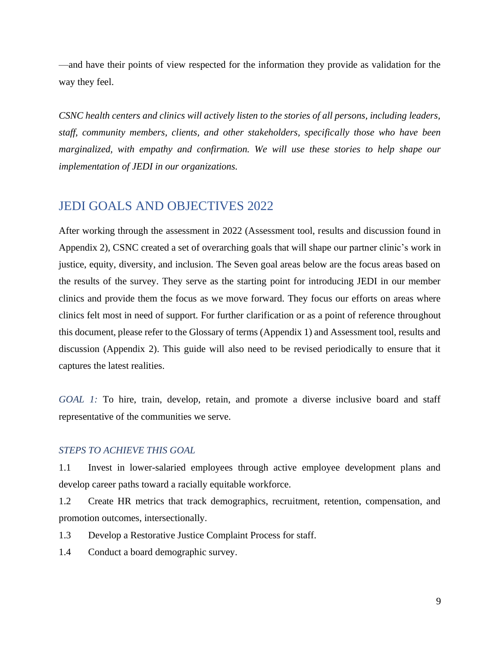—and have their points of view respected for the information they provide as validation for the way they feel.

*CSNC health centers and clinics will actively listen to the stories of all persons, including leaders, staff, community members, clients, and other stakeholders, specifically those who have been marginalized, with empathy and confirmation. We will use these stories to help shape our implementation of JEDI in our organizations.*

### <span id="page-9-0"></span>JEDI GOALS AND OBJECTIVES 2022

After working through the assessment in 2022 (Assessment tool, results and discussion found in Appendix 2), CSNC created a set of overarching goals that will shape our partner clinic's work in justice, equity, diversity, and inclusion. The Seven goal areas below are the focus areas based on the results of the survey. They serve as the starting point for introducing JEDI in our member clinics and provide them the focus as we move forward. They focus our efforts on areas where clinics felt most in need of support. For further clarification or as a point of reference throughout this document, please refer to the Glossary of terms (Appendix 1) and Assessment tool, results and discussion (Appendix 2). This guide will also need to be revised periodically to ensure that it captures the latest realities.

*GOAL 1:* To hire, train, develop, retain, and promote a diverse inclusive board and staff representative of the communities we serve.

#### *STEPS TO ACHIEVE THIS GOAL*

1.1 Invest in lower-salaried employees through active employee development plans and develop career paths toward a racially equitable workforce.

1.2 Create HR metrics that track demographics, recruitment, retention, compensation, and promotion outcomes, intersectionally.

1.3 Develop a Restorative Justice Complaint Process for staff.

1.4 Conduct a board demographic survey.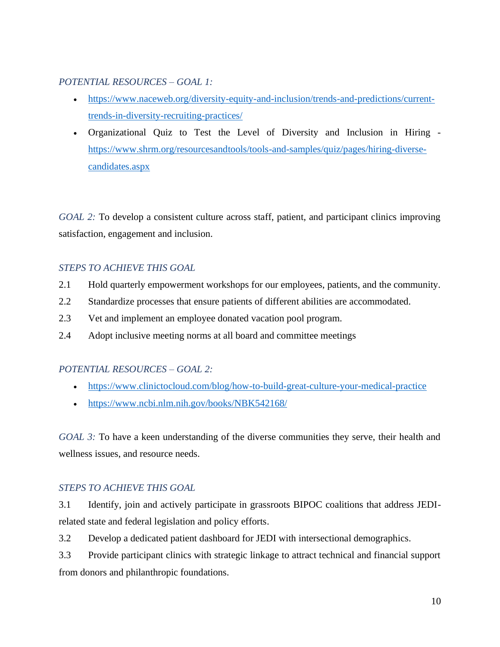#### *POTENTIAL RESOURCES – GOAL 1:*

- [https://www.naceweb.org/diversity-equity-and-inclusion/trends-and-predictions/current](https://www.naceweb.org/diversity-equity-and-inclusion/trends-and-predictions/current-trends-in-diversity-recruiting-practices/)[trends-in-diversity-recruiting-practices/](https://www.naceweb.org/diversity-equity-and-inclusion/trends-and-predictions/current-trends-in-diversity-recruiting-practices/)
- Organizational Quiz to Test the Level of Diversity and Inclusion in Hiring [https://www.shrm.org/resourcesandtools/tools-and-samples/quiz/pages/hiring-diverse](https://www.shrm.org/resourcesandtools/tools-and-samples/quiz/pages/hiring-diverse-candidates.aspx)[candidates.aspx](https://www.shrm.org/resourcesandtools/tools-and-samples/quiz/pages/hiring-diverse-candidates.aspx)

*GOAL 2:* To develop a consistent culture across staff, patient, and participant clinics improving satisfaction, engagement and inclusion.

### *STEPS TO ACHIEVE THIS GOAL*

- 2.1 Hold quarterly empowerment workshops for our employees, patients, and the community.
- 2.2 Standardize processes that ensure patients of different abilities are accommodated.
- 2.3 Vet and implement an employee donated vacation pool program.
- 2.4 Adopt inclusive meeting norms at all board and committee meetings

### *POTENTIAL RESOURCES – GOAL 2:*

- <https://www.clinictocloud.com/blog/how-to-build-great-culture-your-medical-practice>
- <https://www.ncbi.nlm.nih.gov/books/NBK542168/>

*GOAL 3:* To have a keen understanding of the diverse communities they serve, their health and wellness issues, and resource needs.

### *STEPS TO ACHIEVE THIS GOAL*

3.1 Identify, join and actively participate in grassroots BIPOC coalitions that address JEDIrelated state and federal legislation and policy efforts.

3.2 Develop a dedicated patient dashboard for JEDI with intersectional demographics.

3.3 Provide participant clinics with strategic linkage to attract technical and financial support from donors and philanthropic foundations.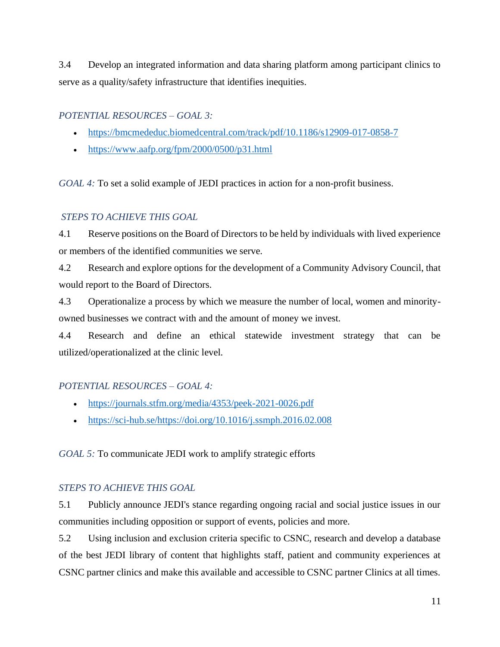3.4 Develop an integrated information and data sharing platform among participant clinics to serve as a quality/safety infrastructure that identifies inequities.

### *POTENTIAL RESOURCES – GOAL 3:*

- <https://bmcmededuc.biomedcentral.com/track/pdf/10.1186/s12909-017-0858-7>
- <https://www.aafp.org/fpm/2000/0500/p31.html>

*GOAL 4:* To set a solid example of JEDI practices in action for a non-profit business.

#### *STEPS TO ACHIEVE THIS GOAL*

4.1 Reserve positions on the Board of Directors to be held by individuals with lived experience or members of the identified communities we serve.

4.2 Research and explore options for the development of a Community Advisory Council, that would report to the Board of Directors.

4.3 Operationalize a process by which we measure the number of local, women and minorityowned businesses we contract with and the amount of money we invest.

4.4 Research and define an ethical statewide investment strategy that can be utilized/operationalized at the clinic level.

### *POTENTIAL RESOURCES – GOAL 4:*

- <https://journals.stfm.org/media/4353/peek-2021-0026.pdf>
- [https://sci-hub.se/https://doi.org/10.1016/j.ssmph.2016.02.008](https://sci-hub.se/https:/doi.org/10.1016/j.ssmph.2016.02.008)

*GOAL 5:* To communicate JEDI work to amplify strategic efforts

### *STEPS TO ACHIEVE THIS GOAL*

5.1 Publicly announce JEDI's stance regarding ongoing racial and social justice issues in our communities including opposition or support of events, policies and more.

5.2 Using inclusion and exclusion criteria specific to CSNC, research and develop a database of the best JEDI library of content that highlights staff, patient and community experiences at CSNC partner clinics and make this available and accessible to CSNC partner Clinics at all times.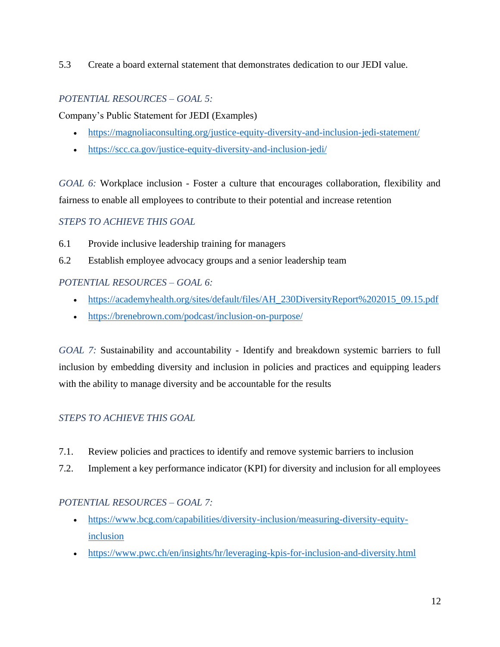5.3 Create a board external statement that demonstrates dedication to our JEDI value.

### *POTENTIAL RESOURCES – GOAL 5:*

Company's Public Statement for JEDI (Examples)

- <https://magnoliaconsulting.org/justice-equity-diversity-and-inclusion-jedi-statement/>
- <https://scc.ca.gov/justice-equity-diversity-and-inclusion-jedi/>

*GOAL 6:* Workplace inclusion - Foster a culture that encourages collaboration, flexibility and fairness to enable all employees to contribute to their potential and increase retention

#### *STEPS TO ACHIEVE THIS GOAL*

- 6.1 Provide inclusive leadership training for managers
- 6.2 Establish employee advocacy groups and a senior leadership team

#### *POTENTIAL RESOURCES – GOAL 6:*

- [https://academyhealth.org/sites/default/files/AH\\_230DiversityReport%202015\\_09.15.pdf](https://academyhealth.org/sites/default/files/AH_230DiversityReport%202015_09.15.pdf)
- <https://brenebrown.com/podcast/inclusion-on-purpose/>

*GOAL 7:* Sustainability and accountability - Identify and breakdown systemic barriers to full inclusion by embedding diversity and inclusion in policies and practices and equipping leaders with the ability to manage diversity and be accountable for the results

### *STEPS TO ACHIEVE THIS GOAL*

- 7.1. Review policies and practices to identify and remove systemic barriers to inclusion
- 7.2. Implement a key performance indicator (KPI) for diversity and inclusion for all employees

### *POTENTIAL RESOURCES – GOAL 7:*

- [https://www.bcg.com/capabilities/diversity-inclusion/measuring-diversity-equity](https://www.bcg.com/capabilities/diversity-inclusion/measuring-diversity-equity-inclusion)[inclusion](https://www.bcg.com/capabilities/diversity-inclusion/measuring-diversity-equity-inclusion)
- <https://www.pwc.ch/en/insights/hr/leveraging-kpis-for-inclusion-and-diversity.html>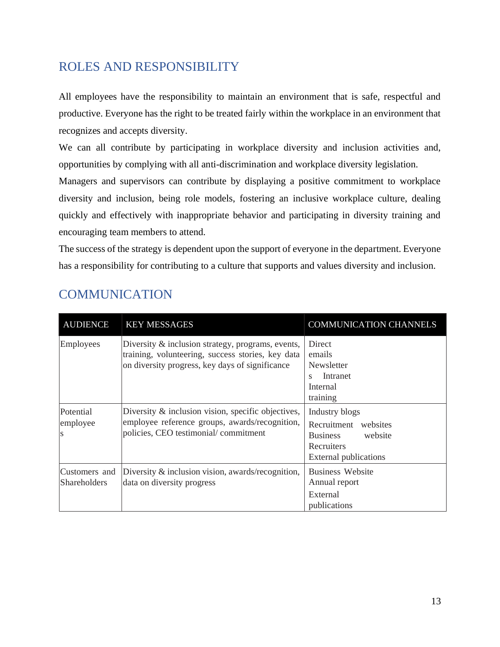## <span id="page-13-0"></span>ROLES AND RESPONSIBILITY

All employees have the responsibility to maintain an environment that is safe, respectful and productive. Everyone has the right to be treated fairly within the workplace in an environment that recognizes and accepts diversity.

We can all contribute by participating in workplace diversity and inclusion activities and, opportunities by complying with all anti-discrimination and workplace diversity legislation.

Managers and supervisors can contribute by displaying a positive commitment to workplace diversity and inclusion, being role models, fostering an inclusive workplace culture, dealing quickly and effectively with inappropriate behavior and participating in diversity training and encouraging team members to attend.

The success of the strategy is dependent upon the support of everyone in the department. Everyone has a responsibility for contributing to a culture that supports and values diversity and inclusion.

| <b>AUDIENCE</b>                      | <b>KEY MESSAGES</b>                                                                                                                                       | <b>COMMUNICATION CHANNELS</b>                                                                                      |
|--------------------------------------|-----------------------------------------------------------------------------------------------------------------------------------------------------------|--------------------------------------------------------------------------------------------------------------------|
| Employees                            | Diversity & inclusion strategy, programs, events,<br>training, volunteering, success stories, key data<br>on diversity progress, key days of significance | Direct<br>emails<br>Newsletter<br>Intranet<br>S<br>Internal<br>training                                            |
| Potential<br>employee<br>S           | Diversity & inclusion vision, specific objectives,<br>employee reference groups, awards/recognition,<br>policies, CEO testimonial/commitment              | Industry blogs<br>Recruitment websites<br><b>Business</b><br>website<br>Recruiters<br><b>External publications</b> |
| Customers and<br><b>Shareholders</b> | Diversity & inclusion vision, awards/recognition,<br>data on diversity progress                                                                           | <b>Business Website</b><br>Annual report<br>External<br>publications                                               |

## <span id="page-13-1"></span>**COMMUNICATION**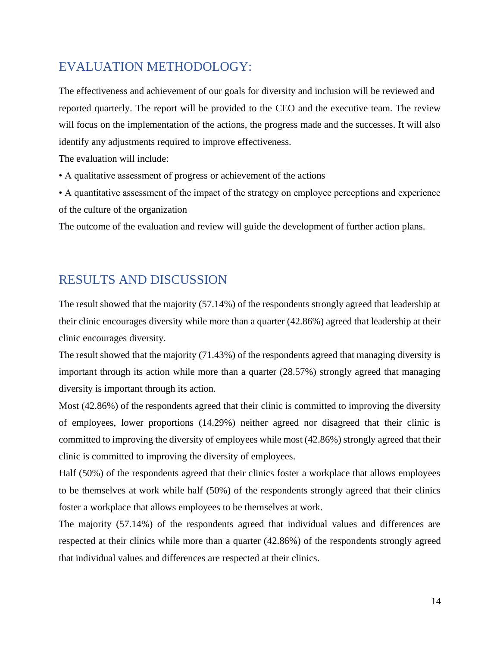## <span id="page-14-0"></span>EVALUATION METHODOLOGY:

The effectiveness and achievement of our goals for diversity and inclusion will be reviewed and reported quarterly. The report will be provided to the CEO and the executive team. The review will focus on the implementation of the actions, the progress made and the successes. It will also identify any adjustments required to improve effectiveness.

The evaluation will include:

• A qualitative assessment of progress or achievement of the actions

• A quantitative assessment of the impact of the strategy on employee perceptions and experience of the culture of the organization

The outcome of the evaluation and review will guide the development of further action plans.

### <span id="page-14-1"></span>RESULTS AND DISCUSSION

The result showed that the majority (57.14%) of the respondents strongly agreed that leadership at their clinic encourages diversity while more than a quarter (42.86%) agreed that leadership at their clinic encourages diversity.

The result showed that the majority (71.43%) of the respondents agreed that managing diversity is important through its action while more than a quarter (28.57%) strongly agreed that managing diversity is important through its action.

Most (42.86%) of the respondents agreed that their clinic is committed to improving the diversity of employees, lower proportions (14.29%) neither agreed nor disagreed that their clinic is committed to improving the diversity of employees while most (42.86%) strongly agreed that their clinic is committed to improving the diversity of employees.

Half (50%) of the respondents agreed that their clinics foster a workplace that allows employees to be themselves at work while half (50%) of the respondents strongly agreed that their clinics foster a workplace that allows employees to be themselves at work.

The majority (57.14%) of the respondents agreed that individual values and differences are respected at their clinics while more than a quarter (42.86%) of the respondents strongly agreed that individual values and differences are respected at their clinics.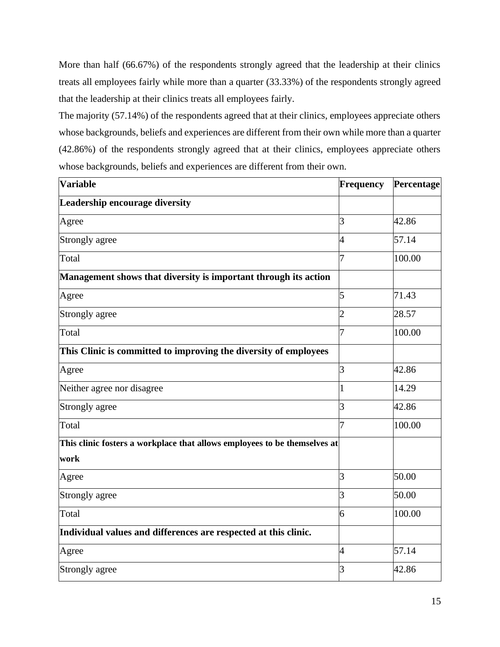More than half (66.67%) of the respondents strongly agreed that the leadership at their clinics treats all employees fairly while more than a quarter (33.33%) of the respondents strongly agreed that the leadership at their clinics treats all employees fairly.

The majority (57.14%) of the respondents agreed that at their clinics, employees appreciate others whose backgrounds, beliefs and experiences are different from their own while more than a quarter (42.86%) of the respondents strongly agreed that at their clinics, employees appreciate others whose backgrounds, beliefs and experiences are different from their own.

| <b>Variable</b>                                                           | Frequency      | Percentage |
|---------------------------------------------------------------------------|----------------|------------|
| Leadership encourage diversity                                            |                |            |
| Agree                                                                     | 3              | 42.86      |
| Strongly agree                                                            | 4              | 57.14      |
| Total                                                                     | 7              | 100.00     |
| Management shows that diversity is important through its action           |                |            |
| Agree                                                                     | 5              | 71.43      |
| Strongly agree                                                            | 2              | 28.57      |
| Total                                                                     | 7              | 100.00     |
| This Clinic is committed to improving the diversity of employees          |                |            |
| Agree                                                                     | 3              | 42.86      |
| Neither agree nor disagree                                                | 1              | 14.29      |
| Strongly agree                                                            | 3              | 42.86      |
| Total                                                                     | 7              | 100.00     |
| This clinic fosters a workplace that allows employees to be themselves at |                |            |
| work                                                                      |                |            |
| Agree                                                                     | 3              | 50.00      |
| Strongly agree                                                            | 3              | 50.00      |
| Total                                                                     | 6              | 100.00     |
| Individual values and differences are respected at this clinic.           |                |            |
| Agree                                                                     | $\overline{4}$ | 57.14      |
| Strongly agree                                                            | 3              | 42.86      |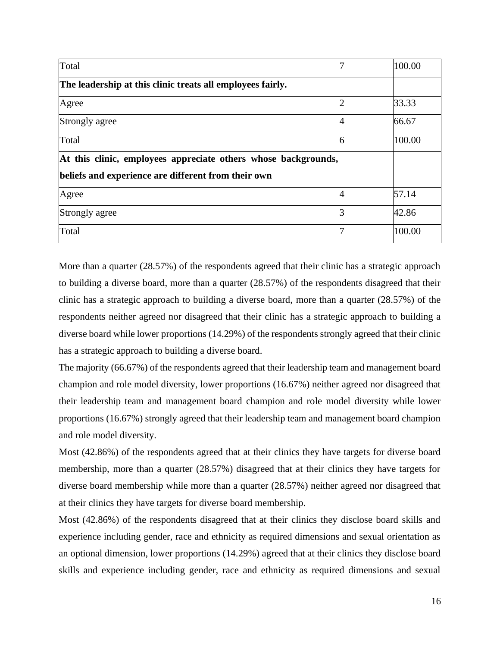| Total                                                          |   | 100.00 |
|----------------------------------------------------------------|---|--------|
| The leadership at this clinic treats all employees fairly.     |   |        |
| Agree                                                          |   | 33.33  |
| Strongly agree                                                 |   | 66.67  |
| Total                                                          | 6 | 100.00 |
| At this clinic, employees appreciate others whose backgrounds, |   |        |
| beliefs and experience are different from their own            |   |        |
| Agree                                                          |   | 57.14  |
| Strongly agree                                                 |   | 42.86  |
| Total                                                          |   | 100.00 |

More than a quarter (28.57%) of the respondents agreed that their clinic has a strategic approach to building a diverse board, more than a quarter (28.57%) of the respondents disagreed that their clinic has a strategic approach to building a diverse board, more than a quarter (28.57%) of the respondents neither agreed nor disagreed that their clinic has a strategic approach to building a diverse board while lower proportions (14.29%) of the respondents strongly agreed that their clinic has a strategic approach to building a diverse board.

The majority (66.67%) of the respondents agreed that their leadership team and management board champion and role model diversity, lower proportions (16.67%) neither agreed nor disagreed that their leadership team and management board champion and role model diversity while lower proportions (16.67%) strongly agreed that their leadership team and management board champion and role model diversity.

Most (42.86%) of the respondents agreed that at their clinics they have targets for diverse board membership, more than a quarter (28.57%) disagreed that at their clinics they have targets for diverse board membership while more than a quarter (28.57%) neither agreed nor disagreed that at their clinics they have targets for diverse board membership.

Most (42.86%) of the respondents disagreed that at their clinics they disclose board skills and experience including gender, race and ethnicity as required dimensions and sexual orientation as an optional dimension, lower proportions (14.29%) agreed that at their clinics they disclose board skills and experience including gender, race and ethnicity as required dimensions and sexual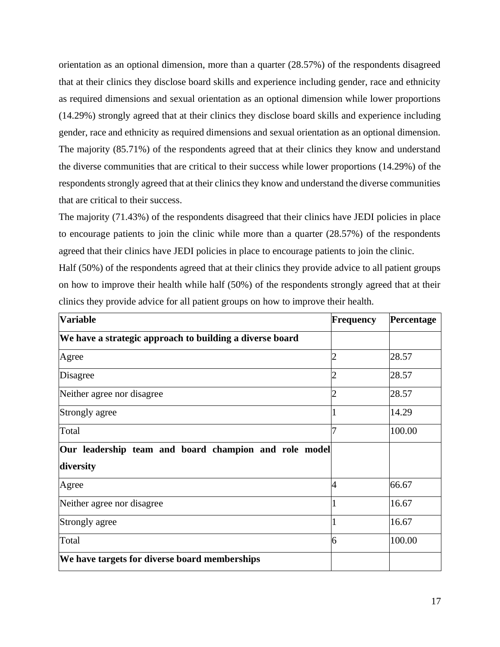orientation as an optional dimension, more than a quarter (28.57%) of the respondents disagreed that at their clinics they disclose board skills and experience including gender, race and ethnicity as required dimensions and sexual orientation as an optional dimension while lower proportions (14.29%) strongly agreed that at their clinics they disclose board skills and experience including gender, race and ethnicity as required dimensions and sexual orientation as an optional dimension. The majority (85.71%) of the respondents agreed that at their clinics they know and understand the diverse communities that are critical to their success while lower proportions (14.29%) of the respondents strongly agreed that at their clinics they know and understand the diverse communities that are critical to their success.

The majority (71.43%) of the respondents disagreed that their clinics have JEDI policies in place to encourage patients to join the clinic while more than a quarter (28.57%) of the respondents agreed that their clinics have JEDI policies in place to encourage patients to join the clinic.

Half (50%) of the respondents agreed that at their clinics they provide advice to all patient groups on how to improve their health while half (50%) of the respondents strongly agreed that at their clinics they provide advice for all patient groups on how to improve their health.

| <b>Variable</b>                                          | Frequency | Percentage |
|----------------------------------------------------------|-----------|------------|
| We have a strategic approach to building a diverse board |           |            |
| Agree                                                    |           | 28.57      |
| Disagree                                                 |           | 28.57      |
| Neither agree nor disagree                               |           | 28.57      |
| Strongly agree                                           |           | 14.29      |
| Total                                                    | 7         | 100.00     |
| Our leadership team and board champion and role model    |           |            |
| diversity                                                |           |            |
| Agree                                                    | 4         | 66.67      |
| Neither agree nor disagree                               |           | 16.67      |
| Strongly agree                                           |           | 16.67      |
| Total                                                    | 6         | 100.00     |
| We have targets for diverse board memberships            |           |            |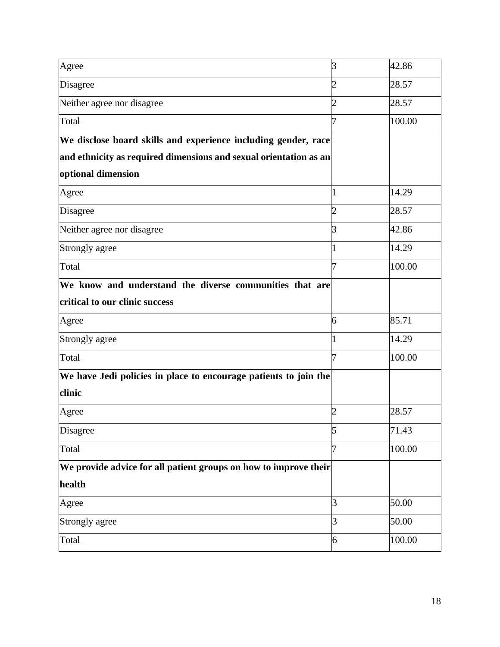| Agree                                                             | 3              | 42.86  |
|-------------------------------------------------------------------|----------------|--------|
| Disagree                                                          | 2              | 28.57  |
| Neither agree nor disagree                                        | 2              | 28.57  |
| Total                                                             |                | 100.00 |
| We disclose board skills and experience including gender, race    |                |        |
| and ethnicity as required dimensions and sexual orientation as an |                |        |
| optional dimension                                                |                |        |
| Agree                                                             |                | 14.29  |
| Disagree                                                          | 2              | 28.57  |
| Neither agree nor disagree                                        | 3              | 42.86  |
| Strongly agree                                                    |                | 14.29  |
| Total                                                             | 7              | 100.00 |
| We know and understand the diverse communities that are           |                |        |
| critical to our clinic success                                    |                |        |
| Agree                                                             | 6              | 85.71  |
| Strongly agree                                                    |                | 14.29  |
| Total                                                             | 7              | 100.00 |
| We have Jedi policies in place to encourage patients to join the  |                |        |
| clinic                                                            |                |        |
| Agree                                                             | 2              | 28.57  |
| Disagree                                                          | 5              | 71.43  |
| Total                                                             | 7              | 100.00 |
| We provide advice for all patient groups on how to improve their  |                |        |
| health                                                            |                |        |
| Agree                                                             | 3              | 50.00  |
| Strongly agree                                                    | $\overline{3}$ | 50.00  |
| Total                                                             | 6              | 100.00 |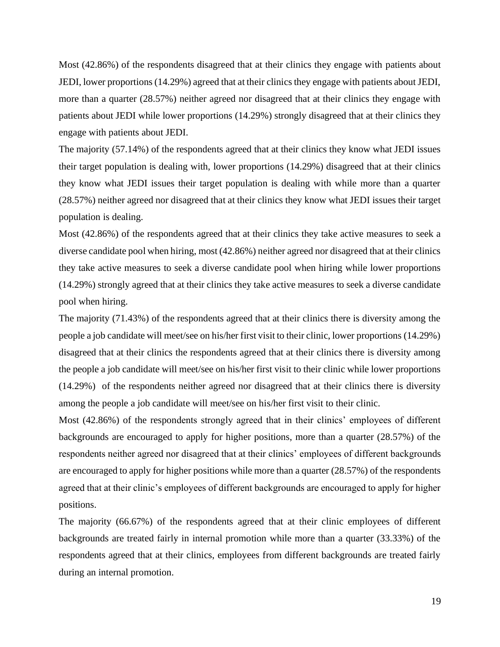Most (42.86%) of the respondents disagreed that at their clinics they engage with patients about JEDI, lower proportions (14.29%) agreed that at their clinics they engage with patients about JEDI, more than a quarter (28.57%) neither agreed nor disagreed that at their clinics they engage with patients about JEDI while lower proportions (14.29%) strongly disagreed that at their clinics they engage with patients about JEDI.

The majority (57.14%) of the respondents agreed that at their clinics they know what JEDI issues their target population is dealing with, lower proportions (14.29%) disagreed that at their clinics they know what JEDI issues their target population is dealing with while more than a quarter (28.57%) neither agreed nor disagreed that at their clinics they know what JEDI issues their target population is dealing.

Most (42.86%) of the respondents agreed that at their clinics they take active measures to seek a diverse candidate pool when hiring, most (42.86%) neither agreed nor disagreed that at their clinics they take active measures to seek a diverse candidate pool when hiring while lower proportions (14.29%) strongly agreed that at their clinics they take active measures to seek a diverse candidate pool when hiring.

The majority (71.43%) of the respondents agreed that at their clinics there is diversity among the people a job candidate will meet/see on his/her first visit to their clinic, lower proportions (14.29%) disagreed that at their clinics the respondents agreed that at their clinics there is diversity among the people a job candidate will meet/see on his/her first visit to their clinic while lower proportions (14.29%) of the respondents neither agreed nor disagreed that at their clinics there is diversity among the people a job candidate will meet/see on his/her first visit to their clinic.

Most (42.86%) of the respondents strongly agreed that in their clinics' employees of different backgrounds are encouraged to apply for higher positions, more than a quarter (28.57%) of the respondents neither agreed nor disagreed that at their clinics' employees of different backgrounds are encouraged to apply for higher positions while more than a quarter (28.57%) of the respondents agreed that at their clinic's employees of different backgrounds are encouraged to apply for higher positions.

The majority (66.67%) of the respondents agreed that at their clinic employees of different backgrounds are treated fairly in internal promotion while more than a quarter (33.33%) of the respondents agreed that at their clinics, employees from different backgrounds are treated fairly during an internal promotion.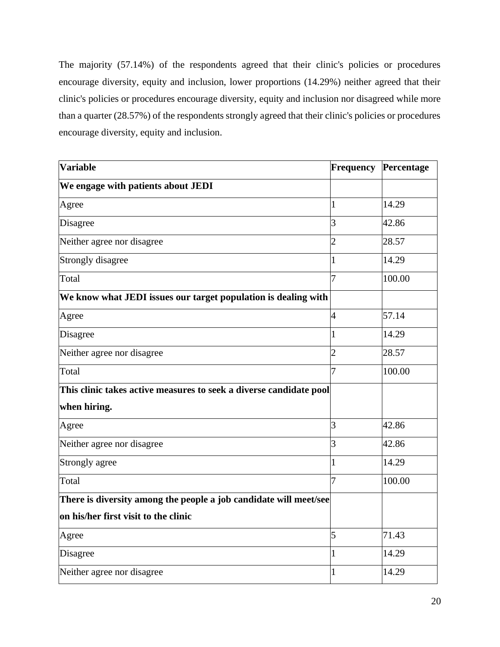The majority (57.14%) of the respondents agreed that their clinic's policies or procedures encourage diversity, equity and inclusion, lower proportions (14.29%) neither agreed that their clinic's policies or procedures encourage diversity, equity and inclusion nor disagreed while more than a quarter (28.57%) of the respondents strongly agreed that their clinic's policies or procedures encourage diversity, equity and inclusion.

| <b>Variable</b>                                                    | Frequency      | Percentage |
|--------------------------------------------------------------------|----------------|------------|
| We engage with patients about JEDI                                 |                |            |
| Agree                                                              | 1              | 14.29      |
| Disagree                                                           | 3              | 42.86      |
| Neither agree nor disagree                                         | $\overline{2}$ | 28.57      |
| <b>Strongly disagree</b>                                           | 1              | 14.29      |
| Total                                                              | 7              | 100.00     |
| We know what JEDI issues our target population is dealing with     |                |            |
| Agree                                                              | $\overline{4}$ | 57.14      |
| Disagree                                                           | 1              | 14.29      |
| Neither agree nor disagree                                         | $\overline{2}$ | 28.57      |
| Total                                                              | 7              | 100.00     |
| This clinic takes active measures to seek a diverse candidate pool |                |            |
| when hiring.                                                       |                |            |
| Agree                                                              | 3              | 42.86      |
| Neither agree nor disagree                                         | $\overline{3}$ | 42.86      |
| Strongly agree                                                     | $\mathbf{1}$   | 14.29      |
| Total                                                              | 7              | 100.00     |
| There is diversity among the people a job candidate will meet/see  |                |            |
| on his/her first visit to the clinic                               |                |            |
| Agree                                                              | 5              | 71.43      |
| Disagree                                                           | 1              | 14.29      |
| Neither agree nor disagree                                         | 1              | 14.29      |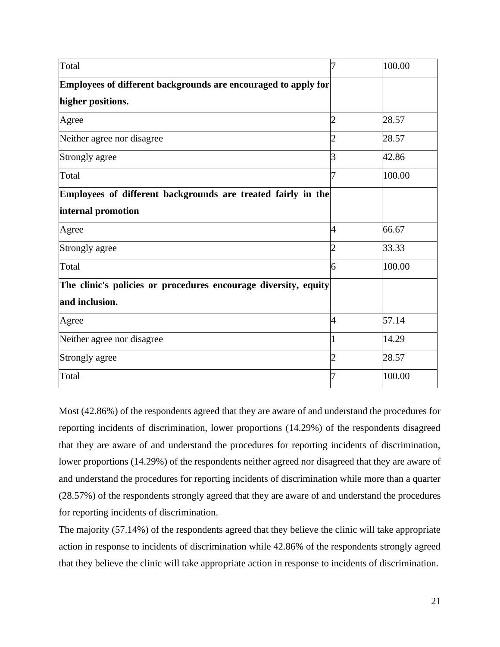| Total                                                           | 7              | 100.00 |
|-----------------------------------------------------------------|----------------|--------|
| Employees of different backgrounds are encouraged to apply for  |                |        |
| higher positions.                                               |                |        |
| Agree                                                           | 2              | 28.57  |
| Neither agree nor disagree                                      | $\overline{2}$ | 28.57  |
| Strongly agree                                                  | 3              | 42.86  |
| Total                                                           | 7              | 100.00 |
| Employees of different backgrounds are treated fairly in the    |                |        |
| internal promotion                                              |                |        |
| Agree                                                           | 4              | 66.67  |
| Strongly agree                                                  | 2              | 33.33  |
| Total                                                           | 6              | 100.00 |
| The clinic's policies or procedures encourage diversity, equity |                |        |
| and inclusion.                                                  |                |        |
| Agree                                                           | $\overline{4}$ | 57.14  |
| Neither agree nor disagree                                      |                | 14.29  |
| Strongly agree                                                  | 2              | 28.57  |
| Total                                                           |                | 100.00 |

Most (42.86%) of the respondents agreed that they are aware of and understand the procedures for reporting incidents of discrimination, lower proportions (14.29%) of the respondents disagreed that they are aware of and understand the procedures for reporting incidents of discrimination, lower proportions (14.29%) of the respondents neither agreed nor disagreed that they are aware of and understand the procedures for reporting incidents of discrimination while more than a quarter (28.57%) of the respondents strongly agreed that they are aware of and understand the procedures for reporting incidents of discrimination.

The majority (57.14%) of the respondents agreed that they believe the clinic will take appropriate action in response to incidents of discrimination while 42.86% of the respondents strongly agreed that they believe the clinic will take appropriate action in response to incidents of discrimination.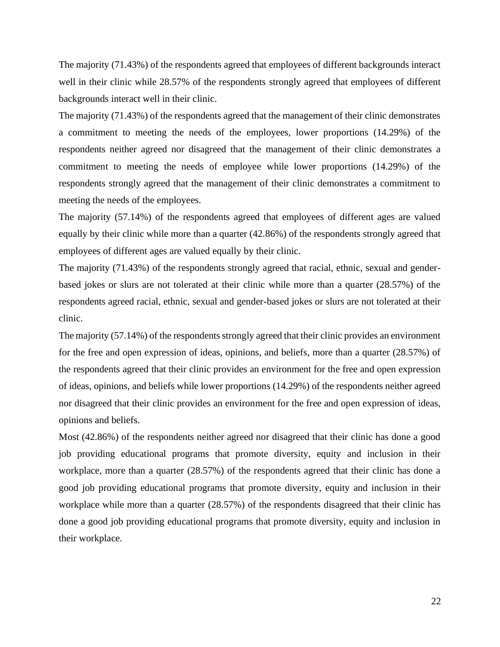The majority (71.43%) of the respondents agreed that employees of different backgrounds interact well in their clinic while 28.57% of the respondents strongly agreed that employees of different backgrounds interact well in their clinic.

The majority (71.43%) of the respondents agreed that the management of their clinic demonstrates a commitment to meeting the needs of the employees, lower proportions (14.29%) of the respondents neither agreed nor disagreed that the management of their clinic demonstrates a commitment to meeting the needs of employee while lower proportions (14.29%) of the respondents strongly agreed that the management of their clinic demonstrates a commitment to meeting the needs of the employees.

The majority (57.14%) of the respondents agreed that employees of different ages are valued equally by their clinic while more than a quarter (42.86%) of the respondents strongly agreed that employees of different ages are valued equally by their clinic.

The majority (71.43%) of the respondents strongly agreed that racial, ethnic, sexual and genderbased jokes or slurs are not tolerated at their clinic while more than a quarter (28.57%) of the respondents agreed racial, ethnic, sexual and gender-based jokes or slurs are not tolerated at their clinic.

The majority (57.14%) of the respondents strongly agreed that their clinic provides an environment for the free and open expression of ideas, opinions, and beliefs, more than a quarter (28.57%) of the respondents agreed that their clinic provides an environment for the free and open expression of ideas, opinions, and beliefs while lower proportions (14.29%) of the respondents neither agreed nor disagreed that their clinic provides an environment for the free and open expression of ideas, opinions and beliefs.

Most (42.86%) of the respondents neither agreed nor disagreed that their clinic has done a good job providing educational programs that promote diversity, equity and inclusion in their workplace, more than a quarter (28.57%) of the respondents agreed that their clinic has done a good job providing educational programs that promote diversity, equity and inclusion in their workplace while more than a quarter (28.57%) of the respondents disagreed that their clinic has done a good job providing educational programs that promote diversity, equity and inclusion in their workplace.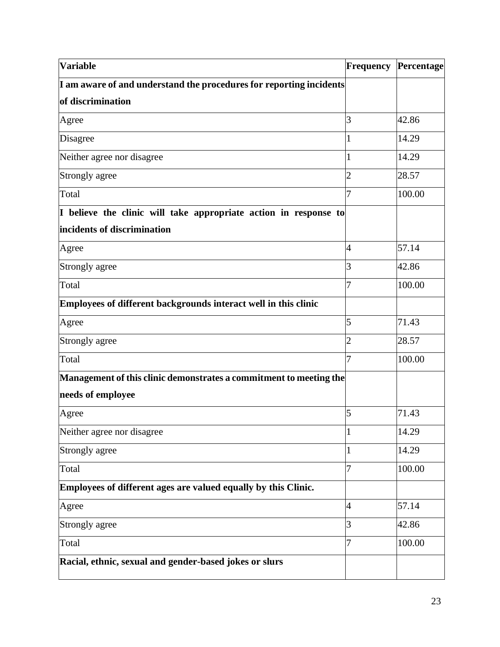| <b>Variable</b>                                                           |                | <b>Frequency Percentage</b> |
|---------------------------------------------------------------------------|----------------|-----------------------------|
| I am aware of and understand the procedures for reporting incidents       |                |                             |
| of discrimination                                                         |                |                             |
| Agree                                                                     | 3              | 42.86                       |
| Disagree                                                                  |                | 14.29                       |
| Neither agree nor disagree                                                |                | 14.29                       |
| Strongly agree                                                            | $\overline{2}$ | 28.57                       |
| Total                                                                     | 7              | 100.00                      |
| I believe the clinic will take appropriate action in response to          |                |                             |
| incidents of discrimination                                               |                |                             |
| Agree                                                                     | 4              | 57.14                       |
| Strongly agree                                                            | 3              | 42.86                       |
| Total                                                                     | 7              | 100.00                      |
| Employees of different backgrounds interact well in this clinic           |                |                             |
| Agree                                                                     | 5              | 71.43                       |
| Strongly agree                                                            | $\overline{2}$ | 28.57                       |
| Total                                                                     | 7              | 100.00                      |
| Management of this clinic demonstrates a commitment to meeting the $\mid$ |                |                             |
| needs of employee                                                         |                |                             |
| Agree                                                                     | 5              | 71.43                       |
| Neither agree nor disagree                                                | 1              | 14.29                       |
| Strongly agree                                                            | 1              | 14.29                       |
| Total                                                                     | 7              | 100.00                      |
| Employees of different ages are valued equally by this Clinic.            |                |                             |
| Agree                                                                     | $\overline{4}$ | 57.14                       |
| Strongly agree                                                            | 3              | 42.86                       |
| Total                                                                     | 7              | 100.00                      |
| Racial, ethnic, sexual and gender-based jokes or slurs                    |                |                             |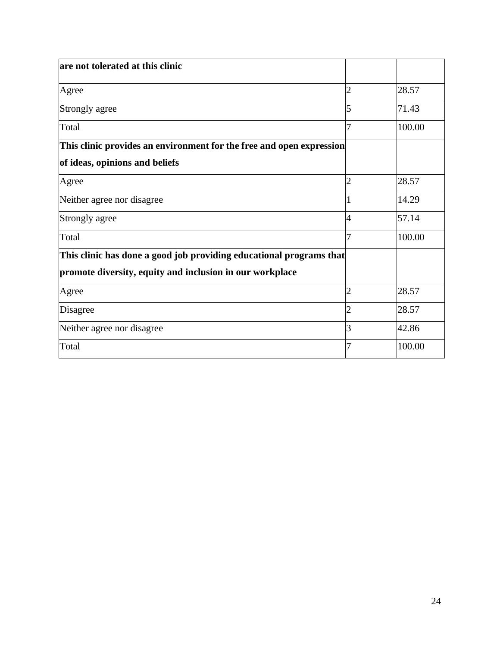| are not tolerated at this clinic                                     |                |        |
|----------------------------------------------------------------------|----------------|--------|
| Agree                                                                | 2              | 28.57  |
| Strongly agree                                                       | 5              | 71.43  |
| Total                                                                |                | 100.00 |
| This clinic provides an environment for the free and open expression |                |        |
| of ideas, opinions and beliefs                                       |                |        |
| Agree                                                                | 2              | 28.57  |
| Neither agree nor disagree                                           |                | 14.29  |
| Strongly agree                                                       | 4              | 57.14  |
| Total                                                                | 7              | 100.00 |
| This clinic has done a good job providing educational programs that  |                |        |
| promote diversity, equity and inclusion in our workplace             |                |        |
| Agree                                                                | 2              | 28.57  |
| Disagree                                                             | $\overline{2}$ | 28.57  |
| Neither agree nor disagree                                           | 3              | 42.86  |
| Total                                                                | 7              | 100.00 |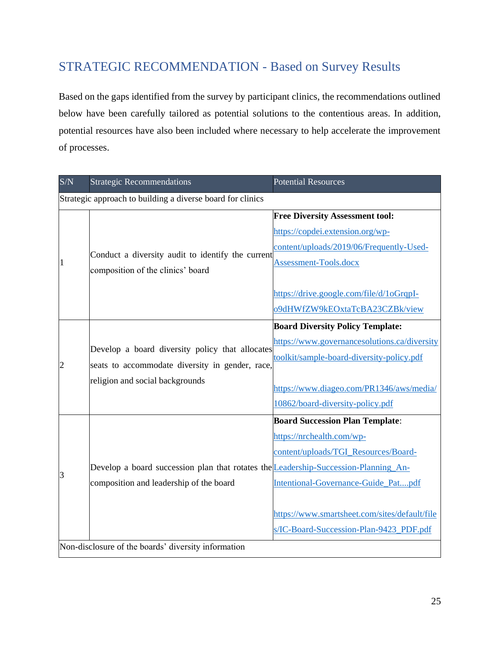## <span id="page-25-0"></span>STRATEGIC RECOMMENDATION - Based on Survey Results

Based on the gaps identified from the survey by participant clinics, the recommendations outlined below have been carefully tailored as potential solutions to the contentious areas. In addition, potential resources have also been included where necessary to help accelerate the improvement of processes.

| S/N            | <b>Strategic Recommendations</b>                                                                   | <b>Potential Resources</b>                    |
|----------------|----------------------------------------------------------------------------------------------------|-----------------------------------------------|
|                | Strategic approach to building a diverse board for clinics                                         |                                               |
|                |                                                                                                    | <b>Free Diversity Assessment tool:</b>        |
|                |                                                                                                    | https://copdei.extension.org/wp-              |
|                | Conduct a diversity audit to identify the current                                                  | content/uploads/2019/06/Frequently-Used-      |
| $\overline{1}$ | composition of the clinics' board                                                                  | Assessment-Tools.docx                         |
|                |                                                                                                    |                                               |
|                |                                                                                                    | https://drive.google.com/file/d/1oGrqpI-      |
|                |                                                                                                    | o9dHWfZW9kEOxtaTcBA23CZBk/view                |
|                |                                                                                                    | <b>Board Diversity Policy Template:</b>       |
|                | Develop a board diversity policy that allocates<br>seats to accommodate diversity in gender, race, | https://www.governancesolutions.ca/diversity  |
| $\overline{c}$ |                                                                                                    | toolkit/sample-board-diversity-policy.pdf     |
|                | religion and social backgrounds                                                                    |                                               |
|                |                                                                                                    | https://www.diageo.com/PR1346/aws/media/      |
|                |                                                                                                    | 10862/board-diversity-policy.pdf              |
|                |                                                                                                    | <b>Board Succession Plan Template:</b>        |
|                |                                                                                                    | https://nrchealth.com/wp-                     |
|                |                                                                                                    | content/uploads/TGI_Resources/Board-          |
| 3              | Develop a board succession plan that rotates the <b>Leadership-Succession-Planning An-</b>         |                                               |
|                | composition and leadership of the board                                                            | Intentional-Governance-Guide_Patpdf           |
|                |                                                                                                    |                                               |
|                |                                                                                                    | https://www.smartsheet.com/sites/default/file |
|                |                                                                                                    | s/IC-Board-Succession-Plan-9423_PDF.pdf       |
|                | Non-disclosure of the boards' diversity information                                                |                                               |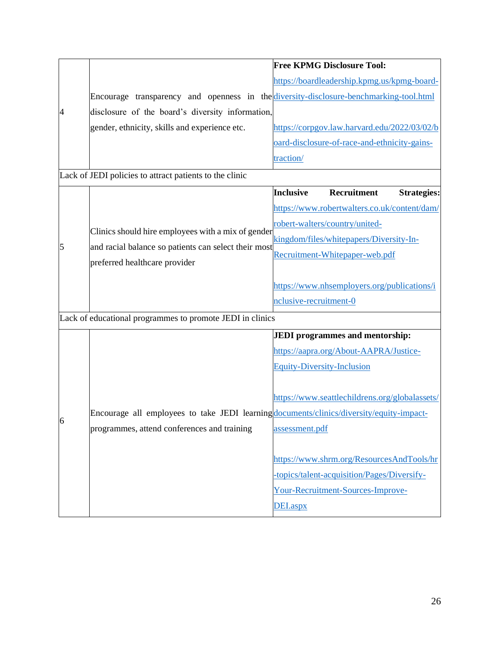|   |                                                                                                            |                        | <b>Free KPMG Disclosure Tool:</b>              |                    |
|---|------------------------------------------------------------------------------------------------------------|------------------------|------------------------------------------------|--------------------|
|   |                                                                                                            |                        | https://boardleadership.kpmg.us/kpmg-board-    |                    |
|   | Encourage transparency and openness in the diversity-disclosure-benchmarking-tool.html                     |                        |                                                |                    |
| 4 | disclosure of the board's diversity information,                                                           |                        |                                                |                    |
|   | gender, ethnicity, skills and experience etc.                                                              |                        | https://corpgov.law.harvard.edu/2022/03/02/b   |                    |
|   |                                                                                                            |                        | oard-disclosure-of-race-and-ethnicity-gains-   |                    |
|   |                                                                                                            | traction/              |                                                |                    |
|   | Lack of JEDI policies to attract patients to the clinic                                                    |                        |                                                |                    |
|   |                                                                                                            | <b>Inclusive</b>       | Recruitment                                    | <b>Strategies:</b> |
|   |                                                                                                            |                        | https://www.robertwalters.co.uk/content/dam/   |                    |
|   | Clinics should hire employees with a mix of gender<br>and racial balance so patients can select their most |                        | robert-walters/country/united-                 |                    |
|   |                                                                                                            |                        | kingdom/files/whitepapers/Diversity-In-        |                    |
| 5 |                                                                                                            |                        | Recruitment-Whitepaper-web.pdf                 |                    |
|   | preferred healthcare provider                                                                              |                        |                                                |                    |
|   |                                                                                                            |                        | https://www.nhsemployers.org/publications/i    |                    |
|   |                                                                                                            | nclusive-recruitment-0 |                                                |                    |
|   | Lack of educational programmes to promote JEDI in clinics                                                  |                        |                                                |                    |
|   |                                                                                                            |                        | <b>JEDI</b> programmes and mentorship:         |                    |
|   |                                                                                                            |                        | https://aapra.org/About-AAPRA/Justice-         |                    |
|   |                                                                                                            |                        | <b>Equity-Diversity-Inclusion</b>              |                    |
|   |                                                                                                            |                        |                                                |                    |
|   |                                                                                                            |                        | https://www.seattlechildrens.org/globalassets/ |                    |
| 6 | Encourage all employees to take JEDI learning documents/clinics/diversity/equity-impact-                   |                        |                                                |                    |
|   | programmes, attend conferences and training                                                                | assessment.pdf         |                                                |                    |
|   |                                                                                                            |                        |                                                |                    |
|   |                                                                                                            |                        | https://www.shrm.org/ResourcesAndTools/hr      |                    |
|   |                                                                                                            |                        | -topics/talent-acquisition/Pages/Diversify-    |                    |
|   |                                                                                                            |                        | Your-Recruitment-Sources-Improve-              |                    |
|   |                                                                                                            | DEI.aspx               |                                                |                    |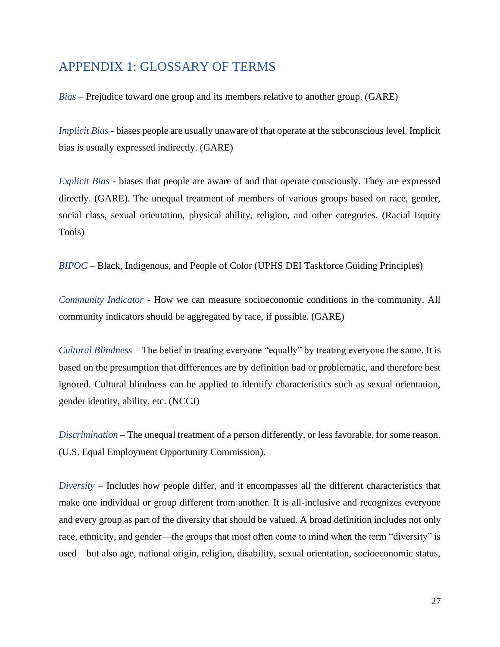### <span id="page-27-0"></span>APPENDIX 1: GLOSSARY OF TERMS

*Bias* – Prejudice toward one group and its members relative to another group. (GARE)

*Implicit Bias* - biases people are usually unaware of that operate at the subconscious level. Implicit bias is usually expressed indirectly. (GARE)

*Explicit Bias* - biases that people are aware of and that operate consciously. They are expressed directly. (GARE). The unequal treatment of members of various groups based on race, gender, social class, sexual orientation, physical ability, religion, and other categories. (Racial Equity Tools)

*BIPOC* – Black, Indigenous, and People of Color (UPHS DEI Taskforce Guiding Principles)

*Community Indicator* - How we can measure socioeconomic conditions in the community. All community indicators should be aggregated by race, if possible. (GARE)

*Cultural Blindness* – The belief in treating everyone "equally" by treating everyone the same. It is based on the presumption that differences are by definition bad or problematic, and therefore best ignored. Cultural blindness can be applied to identify characteristics such as sexual orientation, gender identity, ability, etc. (NCCJ)

*Discrimination* – The unequal treatment of a person differently, or less favorable, for some reason. (U.S. Equal Employment Opportunity Commission).

*Diversity* – Includes how people differ, and it encompasses all the different characteristics that make one individual or group different from another. It is all-inclusive and recognizes everyone and every group as part of the diversity that should be valued. A broad definition includes not only race, ethnicity, and gender—the groups that most often come to mind when the term "diversity" is used—but also age, national origin, religion, disability, sexual orientation, socioeconomic status,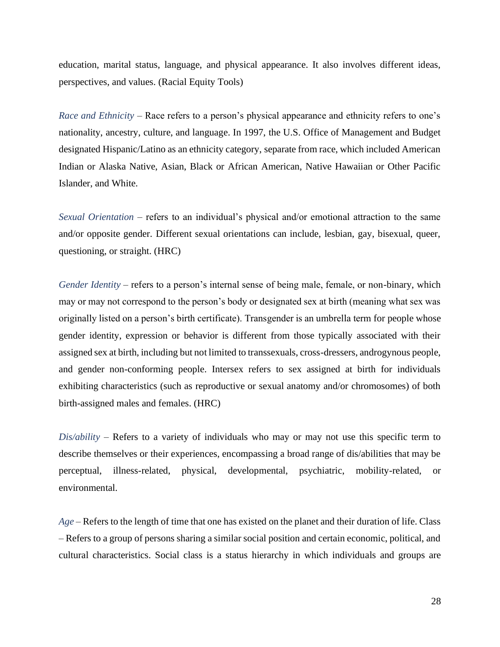education, marital status, language, and physical appearance. It also involves different ideas, perspectives, and values. (Racial Equity Tools)

*Race and Ethnicity* – Race refers to a person's physical appearance and ethnicity refers to one's nationality, ancestry, culture, and language. In 1997, the U.S. Office of Management and Budget designated Hispanic/Latino as an ethnicity category, separate from race, which included American Indian or Alaska Native, Asian, Black or African American, Native Hawaiian or Other Pacific Islander, and White.

*Sexual Orientation* – refers to an individual's physical and/or emotional attraction to the same and/or opposite gender. Different sexual orientations can include, lesbian, gay, bisexual, queer, questioning, or straight. (HRC)

*Gender Identity* – refers to a person's internal sense of being male, female, or non-binary, which may or may not correspond to the person's body or designated sex at birth (meaning what sex was originally listed on a person's birth certificate). Transgender is an umbrella term for people whose gender identity, expression or behavior is different from those typically associated with their assigned sex at birth, including but not limited to transsexuals, cross-dressers, androgynous people, and gender non-conforming people. Intersex refers to sex assigned at birth for individuals exhibiting characteristics (such as reproductive or sexual anatomy and/or chromosomes) of both birth-assigned males and females. (HRC)

*Dis/ability* – Refers to a variety of individuals who may or may not use this specific term to describe themselves or their experiences, encompassing a broad range of dis/abilities that may be perceptual, illness-related, physical, developmental, psychiatric, mobility-related, or environmental.

*Age* – Refers to the length of time that one has existed on the planet and their duration of life. Class – Refers to a group of persons sharing a similar social position and certain economic, political, and cultural characteristics. Social class is a status hierarchy in which individuals and groups are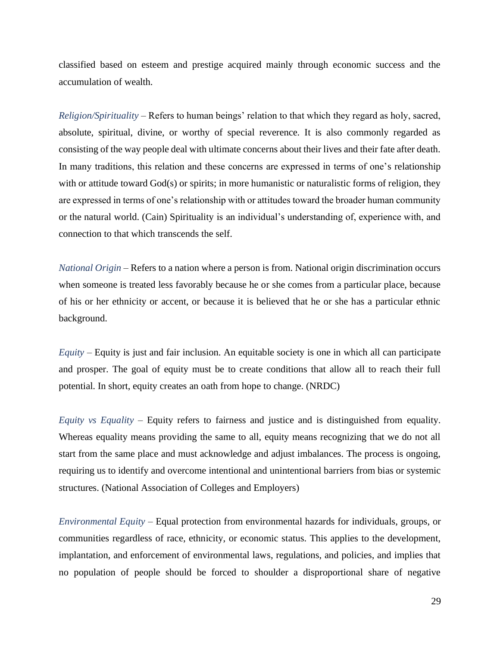classified based on esteem and prestige acquired mainly through economic success and the accumulation of wealth.

*Religion/Spirituality* – Refers to human beings' relation to that which they regard as holy, sacred, absolute, spiritual, divine, or worthy of special reverence. It is also commonly regarded as consisting of the way people deal with ultimate concerns about their lives and their fate after death. In many traditions, this relation and these concerns are expressed in terms of one's relationship with or attitude toward God(s) or spirits; in more humanistic or naturalistic forms of religion, they are expressed in terms of one's relationship with or attitudes toward the broader human community or the natural world. (Cain) Spirituality is an individual's understanding of, experience with, and connection to that which transcends the self.

*National Origin* – Refers to a nation where a person is from. National origin discrimination occurs when someone is treated less favorably because he or she comes from a particular place, because of his or her ethnicity or accent, or because it is believed that he or she has a particular ethnic background.

*Equity* – Equity is just and fair inclusion. An equitable society is one in which all can participate and prosper. The goal of equity must be to create conditions that allow all to reach their full potential. In short, equity creates an oath from hope to change. (NRDC)

*Equity vs Equality* – Equity refers to fairness and justice and is distinguished from equality. Whereas equality means providing the same to all, equity means recognizing that we do not all start from the same place and must acknowledge and adjust imbalances. The process is ongoing, requiring us to identify and overcome intentional and unintentional barriers from bias or systemic structures. (National Association of Colleges and Employers)

*Environmental Equity* – Equal protection from environmental hazards for individuals, groups, or communities regardless of race, ethnicity, or economic status. This applies to the development, implantation, and enforcement of environmental laws, regulations, and policies, and implies that no population of people should be forced to shoulder a disproportional share of negative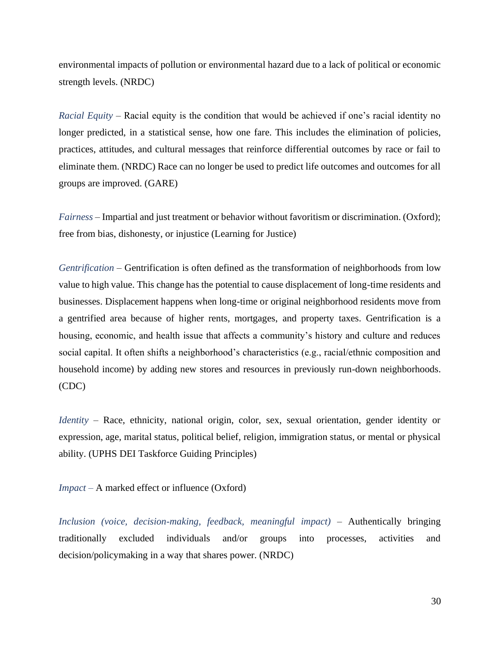environmental impacts of pollution or environmental hazard due to a lack of political or economic strength levels. (NRDC)

*Racial Equity* – Racial equity is the condition that would be achieved if one's racial identity no longer predicted, in a statistical sense, how one fare. This includes the elimination of policies, practices, attitudes, and cultural messages that reinforce differential outcomes by race or fail to eliminate them. (NRDC) Race can no longer be used to predict life outcomes and outcomes for all groups are improved. (GARE)

*Fairness* – Impartial and just treatment or behavior without favoritism or discrimination. (Oxford); free from bias, dishonesty, or injustice (Learning for Justice)

*Gentrification* – Gentrification is often defined as the transformation of neighborhoods from low value to high value. This change has the potential to cause displacement of long-time residents and businesses. Displacement happens when long-time or original neighborhood residents move from a gentrified area because of higher rents, mortgages, and property taxes. Gentrification is a housing, economic, and health issue that affects a community's history and culture and reduces social capital. It often shifts a neighborhood's characteristics (e.g., racial/ethnic composition and household income) by adding new stores and resources in previously run-down neighborhoods. (CDC)

*Identity* – Race, ethnicity, national origin, color, sex, sexual orientation, gender identity or expression, age, marital status, political belief, religion, immigration status, or mental or physical ability. (UPHS DEI Taskforce Guiding Principles)

*Impact –* A marked effect or influence (Oxford)

*Inclusion (voice, decision-making, feedback, meaningful impact)* – Authentically bringing traditionally excluded individuals and/or groups into processes, activities and decision/policymaking in a way that shares power. (NRDC)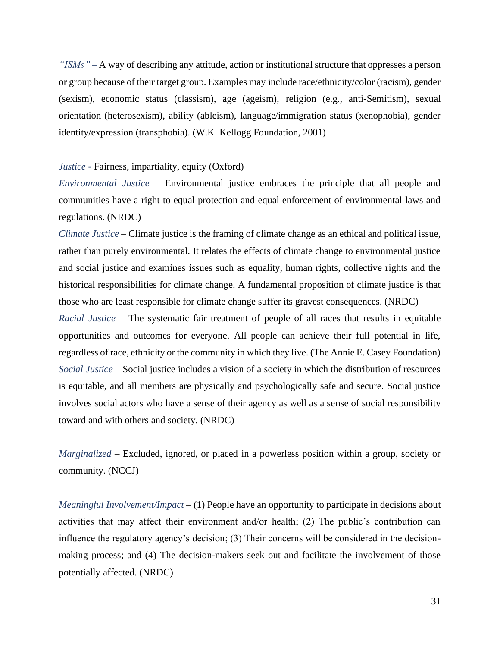*"ISMs" –* A way of describing any attitude, action or institutional structure that oppresses a person or group because of their target group. Examples may include race/ethnicity/color (racism), gender (sexism), economic status (classism), age (ageism), religion (e.g., anti-Semitism), sexual orientation (heterosexism), ability (ableism), language/immigration status (xenophobia), gender identity/expression (transphobia). (W.K. Kellogg Foundation, 2001)

#### *Justice -* Fairness, impartiality, equity (Oxford)

*Environmental Justice* – Environmental justice embraces the principle that all people and communities have a right to equal protection and equal enforcement of environmental laws and regulations. (NRDC)

*Climate Justice* – Climate justice is the framing of climate change as an ethical and political issue, rather than purely environmental. It relates the effects of climate change to environmental justice and social justice and examines issues such as equality, human rights, collective rights and the historical responsibilities for climate change. A fundamental proposition of climate justice is that those who are least responsible for climate change suffer its gravest consequences. (NRDC)

*Racial Justice* – The systematic fair treatment of people of all races that results in equitable opportunities and outcomes for everyone. All people can achieve their full potential in life, regardless of race, ethnicity or the community in which they live. (The Annie E. Casey Foundation) *Social Justice* – Social justice includes a vision of a society in which the distribution of resources is equitable, and all members are physically and psychologically safe and secure. Social justice involves social actors who have a sense of their agency as well as a sense of social responsibility toward and with others and society. (NRDC)

*Marginalized* – Excluded, ignored, or placed in a powerless position within a group, society or community. (NCCJ)

*Meaningful Involvement/Impact* – (1) People have an opportunity to participate in decisions about activities that may affect their environment and/or health; (2) The public's contribution can influence the regulatory agency's decision; (3) Their concerns will be considered in the decisionmaking process; and (4) The decision-makers seek out and facilitate the involvement of those potentially affected. (NRDC)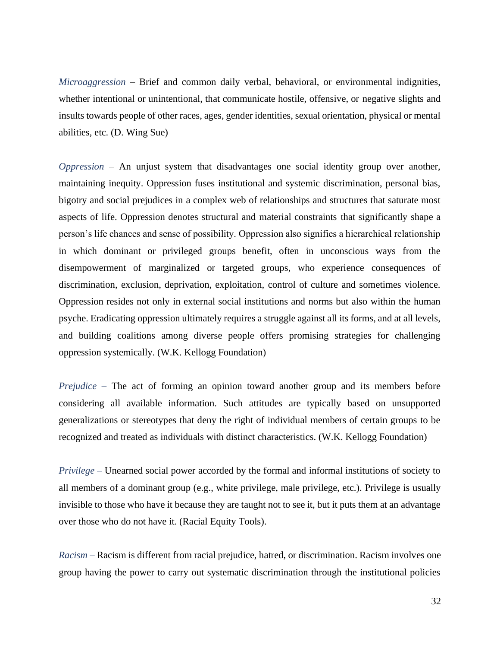*Microaggression* – Brief and common daily verbal, behavioral, or environmental indignities, whether intentional or unintentional, that communicate hostile, offensive, or negative slights and insults towards people of other races, ages, gender identities, sexual orientation, physical or mental abilities, etc. (D. Wing Sue)

*Oppression* – An unjust system that disadvantages one social identity group over another, maintaining inequity. Oppression fuses institutional and systemic discrimination, personal bias, bigotry and social prejudices in a complex web of relationships and structures that saturate most aspects of life. Oppression denotes structural and material constraints that significantly shape a person's life chances and sense of possibility. Oppression also signifies a hierarchical relationship in which dominant or privileged groups benefit, often in unconscious ways from the disempowerment of marginalized or targeted groups, who experience consequences of discrimination, exclusion, deprivation, exploitation, control of culture and sometimes violence. Oppression resides not only in external social institutions and norms but also within the human psyche. Eradicating oppression ultimately requires a struggle against all its forms, and at all levels, and building coalitions among diverse people offers promising strategies for challenging oppression systemically. (W.K. Kellogg Foundation)

*Prejudice –* The act of forming an opinion toward another group and its members before considering all available information. Such attitudes are typically based on unsupported generalizations or stereotypes that deny the right of individual members of certain groups to be recognized and treated as individuals with distinct characteristics. (W.K. Kellogg Foundation)

*Privilege –* Unearned social power accorded by the formal and informal institutions of society to all members of a dominant group (e.g., white privilege, male privilege, etc.). Privilege is usually invisible to those who have it because they are taught not to see it, but it puts them at an advantage over those who do not have it. (Racial Equity Tools).

*Racism –* Racism is different from racial prejudice, hatred, or discrimination. Racism involves one group having the power to carry out systematic discrimination through the institutional policies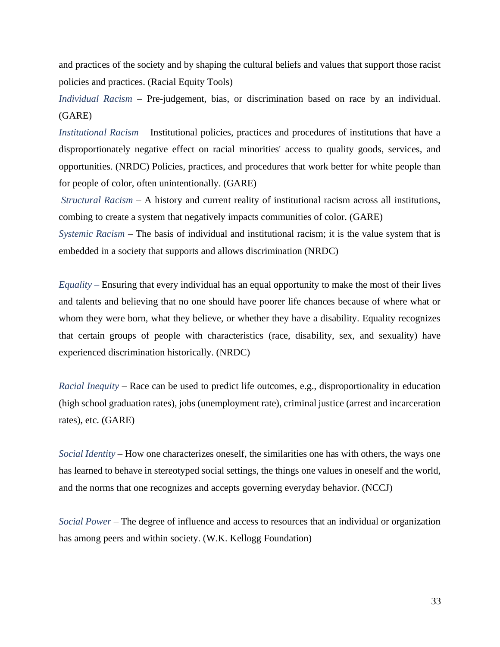and practices of the society and by shaping the cultural beliefs and values that support those racist policies and practices. (Racial Equity Tools)

*Individual Racism* – Pre-judgement, bias, or discrimination based on race by an individual. (GARE)

*Institutional Racism* – Institutional policies, practices and procedures of institutions that have a disproportionately negative effect on racial minorities' access to quality goods, services, and opportunities. (NRDC) Policies, practices, and procedures that work better for white people than for people of color, often unintentionally. (GARE)

*Structural Racism* – A history and current reality of institutional racism across all institutions, combing to create a system that negatively impacts communities of color. (GARE)

*Systemic Racism* – The basis of individual and institutional racism; it is the value system that is embedded in a society that supports and allows discrimination (NRDC)

*Equality –* Ensuring that every individual has an equal opportunity to make the most of their lives and talents and believing that no one should have poorer life chances because of where what or whom they were born, what they believe, or whether they have a disability. Equality recognizes that certain groups of people with characteristics (race, disability, sex, and sexuality) have experienced discrimination historically. (NRDC)

*Racial Inequity* – Race can be used to predict life outcomes, e.g., disproportionality in education (high school graduation rates), jobs (unemployment rate), criminal justice (arrest and incarceration rates), etc. (GARE)

*Social Identity* – How one characterizes oneself, the similarities one has with others, the ways one has learned to behave in stereotyped social settings, the things one values in oneself and the world, and the norms that one recognizes and accepts governing everyday behavior. (NCCJ)

*Social Power* – The degree of influence and access to resources that an individual or organization has among peers and within society. (W.K. Kellogg Foundation)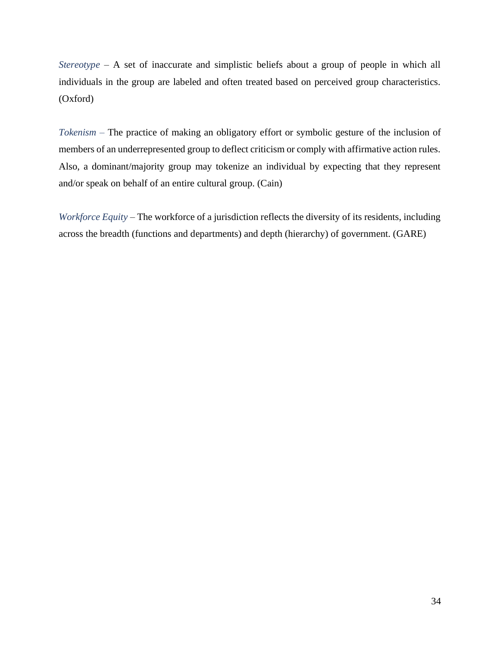*Stereotype* – A set of inaccurate and simplistic beliefs about a group of people in which all individuals in the group are labeled and often treated based on perceived group characteristics. (Oxford)

*Tokenism –* The practice of making an obligatory effort or symbolic gesture of the inclusion of members of an underrepresented group to deflect criticism or comply with affirmative action rules. Also, a dominant/majority group may tokenize an individual by expecting that they represent and/or speak on behalf of an entire cultural group. (Cain)

*Workforce Equity* – The workforce of a jurisdiction reflects the diversity of its residents, including across the breadth (functions and departments) and depth (hierarchy) of government. (GARE)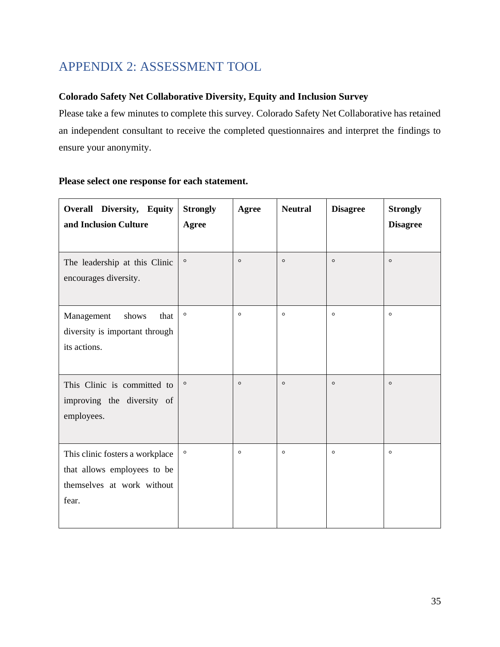## <span id="page-35-0"></span>APPENDIX 2: ASSESSMENT TOOL

### **Colorado Safety Net Collaborative Diversity, Equity and Inclusion Survey**

Please take a few minutes to complete this survey. Colorado Safety Net Collaborative has retained an independent consultant to receive the completed questionnaires and interpret the findings to ensure your anonymity.

| Overall Diversity, Equity<br>and Inclusion Culture                                                    | <b>Strongly</b><br>Agree | Agree   | <b>Neutral</b> | <b>Disagree</b> | <b>Strongly</b><br><b>Disagree</b> |
|-------------------------------------------------------------------------------------------------------|--------------------------|---------|----------------|-----------------|------------------------------------|
| The leadership at this Clinic<br>encourages diversity.                                                | $\circ$                  | $\circ$ | $\circ$        | $\circ$         | $\circ$                            |
| Management<br>shows<br>that<br>diversity is important through<br>its actions.                         | $\circ$                  | $\circ$ | $\circ$        | $\circ$         | $\circ$                            |
| This Clinic is committed to<br>improving the diversity of<br>employees.                               | $\circ$                  | $\circ$ | $\circ$        | $\circ$         | $\circ$                            |
| This clinic fosters a workplace<br>that allows employees to be<br>themselves at work without<br>fear. | $\circ$                  | $\circ$ | $\circ$        | $\circ$         | $\circ$                            |

#### **Please select one response for each statement.**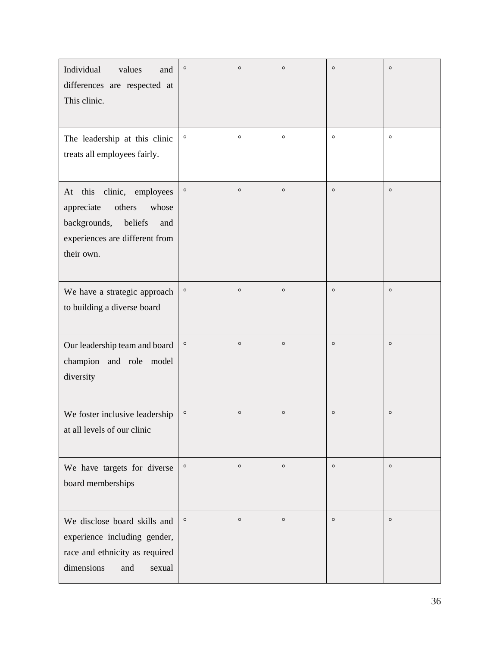| Individual<br>values<br>and<br>differences are respected at<br>This clinic.                                                                     | $\circ$ | $\circ$ | $\circ$ | $\circ$ | $\circ$ |
|-------------------------------------------------------------------------------------------------------------------------------------------------|---------|---------|---------|---------|---------|
| The leadership at this clinic<br>treats all employees fairly.                                                                                   | $\circ$ | $\circ$ | $\circ$ | $\circ$ | $\circ$ |
| clinic, employees<br>At this<br>others<br>appreciate<br>whose<br>backgrounds,<br>beliefs<br>and<br>experiences are different from<br>their own. | $\circ$ | $\circ$ | $\circ$ | $\circ$ | $\circ$ |
| We have a strategic approach<br>to building a diverse board                                                                                     | $\circ$ | $\circ$ | $\circ$ | $\circ$ | $\circ$ |
| Our leadership team and board<br>champion and role model<br>diversity                                                                           | $\circ$ | $\circ$ | $\circ$ | $\circ$ | $\circ$ |
| We foster inclusive leadership<br>at all levels of our clinic                                                                                   | $\circ$ | $\circ$ | $\circ$ | $\circ$ | $\circ$ |
| We have targets for diverse<br>board memberships                                                                                                | $\circ$ | $\circ$ | $\circ$ | $\circ$ | $\circ$ |
| We disclose board skills and<br>experience including gender,<br>race and ethnicity as required<br>dimensions<br>and<br>sexual                   | $\circ$ | $\circ$ | $\circ$ | $\circ$ | $\circ$ |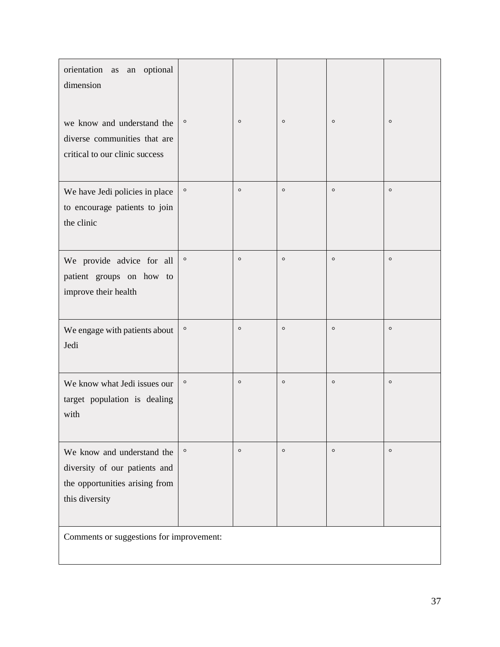| orientation as<br>optional<br>${\rm an}$<br>dimension                                                           |         |         |         |         |         |
|-----------------------------------------------------------------------------------------------------------------|---------|---------|---------|---------|---------|
| we know and understand the<br>diverse communities that are<br>critical to our clinic success                    | $\circ$ | $\circ$ | $\circ$ | $\circ$ | $\circ$ |
| We have Jedi policies in place<br>to encourage patients to join<br>the clinic                                   | $\circ$ | $\circ$ | $\circ$ | $\circ$ | $\circ$ |
| We provide advice for all<br>patient groups on how to<br>improve their health                                   | $\circ$ | $\circ$ | $\circ$ | $\circ$ | $\circ$ |
| We engage with patients about<br>Jedi                                                                           | $\circ$ | $\circ$ | $\circ$ | $\circ$ | $\circ$ |
| We know what Jedi issues our<br>target population is dealing<br>with                                            | $\circ$ | $\circ$ | $\circ$ | $\circ$ | $\circ$ |
| We know and understand the<br>diversity of our patients and<br>the opportunities arising from<br>this diversity | $\circ$ | $\circ$ | $\circ$ | $\circ$ | $\circ$ |
| Comments or suggestions for improvement:                                                                        |         |         |         |         |         |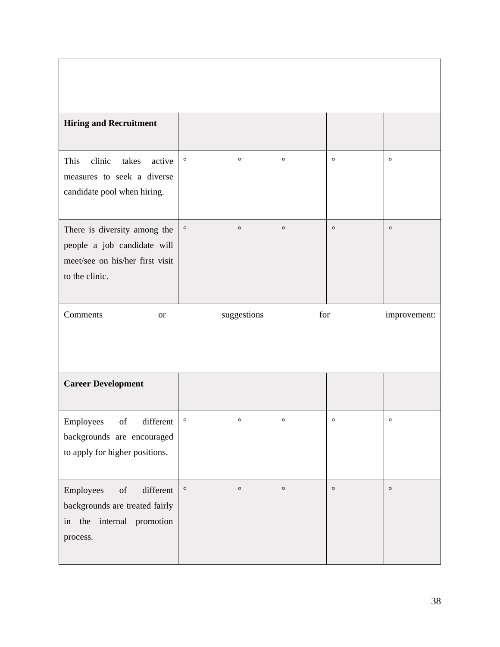| <b>Hiring and Recruitment</b>                                                                                    |         |             |         |         |              |
|------------------------------------------------------------------------------------------------------------------|---------|-------------|---------|---------|--------------|
| clinic<br>This<br>takes<br>active<br>measures to seek a diverse<br>candidate pool when hiring.                   | $\circ$ | $\circ$     | $\circ$ | $\circ$ | $\circ$      |
| There is diversity among the<br>people a job candidate will<br>meet/see on his/her first visit<br>to the clinic. | $\circ$ | $\circ$     | $\circ$ | $\circ$ | $\circ$      |
|                                                                                                                  |         |             |         |         |              |
| Comments<br><b>or</b>                                                                                            |         | suggestions | for     |         | improvement: |
| <b>Career Development</b>                                                                                        |         |             |         |         |              |
| different<br>of<br>Employees<br>backgrounds are encouraged<br>to apply for higher positions.                     | $\circ$ | $\circ$     | $\circ$ | $\circ$ | $\circ$      |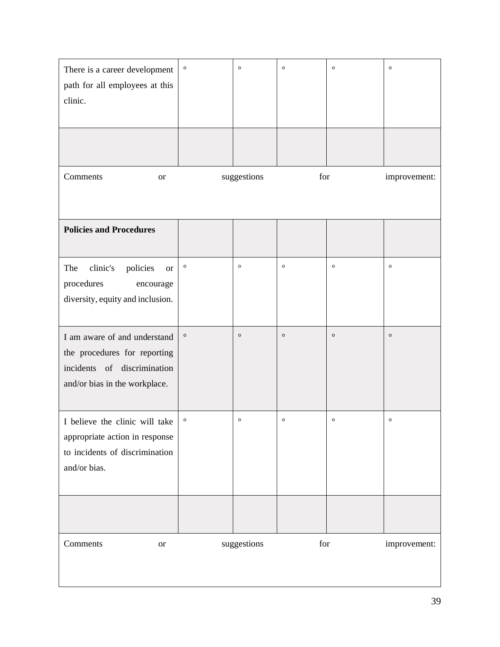| There is a career development<br>path for all employees at this<br>clinic.                                                   | $\circ$ | $\circ$     | $\circ$ | $\circ$ | $\circ$      |
|------------------------------------------------------------------------------------------------------------------------------|---------|-------------|---------|---------|--------------|
| Comments<br><b>or</b>                                                                                                        |         | suggestions | for     |         | improvement: |
| <b>Policies and Procedures</b>                                                                                               |         |             |         |         |              |
| clinic's<br>The<br>policies<br><b>or</b><br>procedures<br>encourage<br>diversity, equity and inclusion.                      | $\circ$ | $\circ$     | $\circ$ | $\circ$ | $\circ$      |
| I am aware of and understand<br>the procedures for reporting<br>incidents of discrimination<br>and/or bias in the workplace. | $\circ$ | $\circ$     | $\circ$ | $\circ$ | $\circ$      |
| I believe the clinic will take<br>appropriate action in response<br>to incidents of discrimination<br>and/or bias.           | $\circ$ | $\circ$     | $\circ$ | $\circ$ | $\circ$      |
|                                                                                                                              |         |             |         |         |              |
| Comments<br>$\hbox{or}$                                                                                                      |         | suggestions | for     |         | improvement: |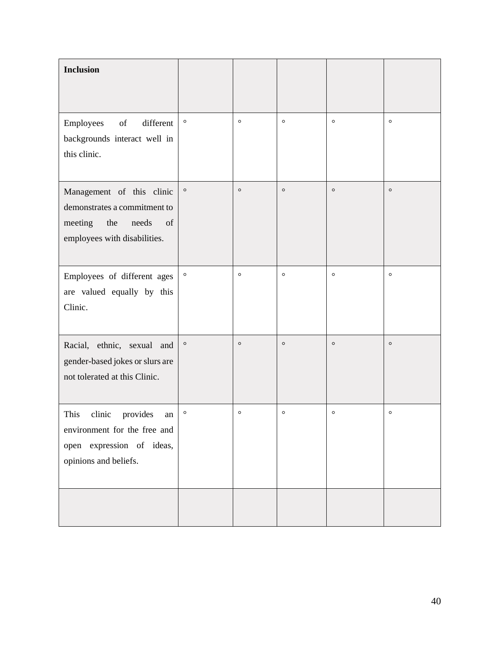| <b>Inclusion</b>                                                                                                           |         |         |         |         |         |
|----------------------------------------------------------------------------------------------------------------------------|---------|---------|---------|---------|---------|
| Employees<br>of<br>different<br>backgrounds interact well in<br>this clinic.                                               | $\circ$ | $\circ$ | $\circ$ | $\circ$ | $\circ$ |
| Management of this clinic<br>demonstrates a commitment to<br>of<br>meeting<br>the<br>needs<br>employees with disabilities. | $\circ$ | $\circ$ | $\circ$ | $\circ$ | $\circ$ |
| Employees of different ages<br>are valued equally by this<br>Clinic.                                                       | $\circ$ | $\circ$ | $\circ$ | $\circ$ | $\circ$ |
| Racial, ethnic, sexual and<br>gender-based jokes or slurs are<br>not tolerated at this Clinic.                             | $\circ$ | $\circ$ | $\circ$ | $\circ$ | $\circ$ |
| This<br>clinic<br>provides<br>an<br>environment for the free and<br>open expression of ideas,<br>opinions and beliefs.     | $\circ$ | $\circ$ | $\circ$ | $\circ$ | $\circ$ |
|                                                                                                                            |         |         |         |         |         |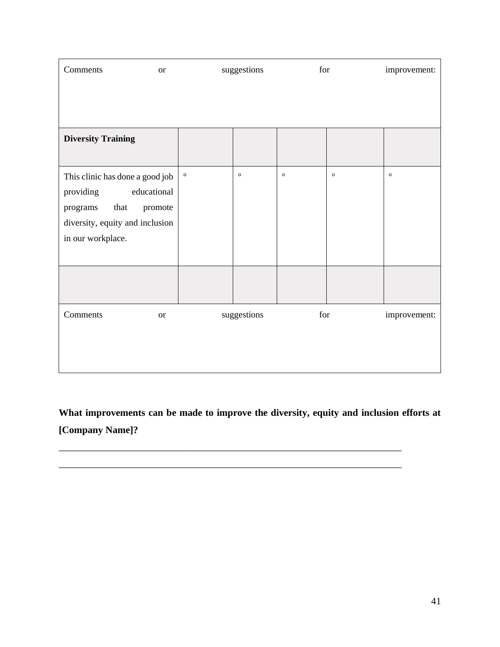| Comments                                            | <b>or</b>   | suggestions |             | for     |         | improvement: |
|-----------------------------------------------------|-------------|-------------|-------------|---------|---------|--------------|
|                                                     |             |             |             |         |         |              |
|                                                     |             |             |             |         |         |              |
| <b>Diversity Training</b>                           |             |             |             |         |         |              |
|                                                     |             |             |             |         |         |              |
| This clinic has done a good job                     |             | $\circ$     | $\circ$     | $\circ$ | $\circ$ | $\circ$      |
| providing                                           | educational |             |             |         |         |              |
| that<br>programs<br>diversity, equity and inclusion | promote     |             |             |         |         |              |
| in our workplace.                                   |             |             |             |         |         |              |
|                                                     |             |             |             |         |         |              |
|                                                     |             |             |             |         |         |              |
|                                                     |             |             |             |         |         |              |
| Comments                                            | <b>or</b>   |             | suggestions | for     |         | improvement: |
|                                                     |             |             |             |         |         |              |
|                                                     |             |             |             |         |         |              |
|                                                     |             |             |             |         |         |              |

**What improvements can be made to improve the diversity, equity and inclusion efforts at [Company Name]?**

\_\_\_\_\_\_\_\_\_\_\_\_\_\_\_\_\_\_\_\_\_\_\_\_\_\_\_\_\_\_\_\_\_\_\_\_\_\_\_\_\_\_\_\_\_\_\_\_\_\_\_\_\_\_\_\_\_\_\_\_\_\_\_\_\_\_\_\_\_\_

\_\_\_\_\_\_\_\_\_\_\_\_\_\_\_\_\_\_\_\_\_\_\_\_\_\_\_\_\_\_\_\_\_\_\_\_\_\_\_\_\_\_\_\_\_\_\_\_\_\_\_\_\_\_\_\_\_\_\_\_\_\_\_\_\_\_\_\_\_\_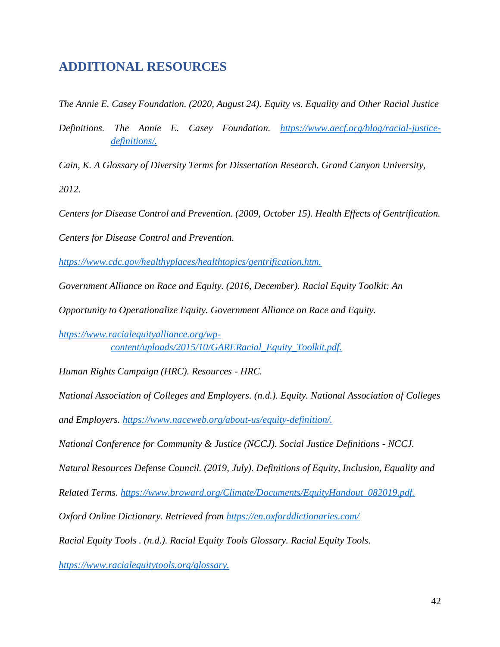### <span id="page-42-0"></span>**ADDITIONAL RESOURCES**

*The Annie E. Casey Foundation. (2020, August 24). Equity vs. Equality and Other Racial Justice*

*Definitions. The Annie E. Casey Foundation. [https://www.aecf.org/blog/racial-justice](https://www.aecf.org/blog/racial-justice-definitions/)[definitions/.](https://www.aecf.org/blog/racial-justice-definitions/)*

*Cain, K. A Glossary of Diversity Terms for Dissertation Research. Grand Canyon University,*

*2012.*

*Centers for Disease Control and Prevention. (2009, October 15). Health Effects of Gentrification.*

*Centers for Disease Control and Prevention.*

*<https://www.cdc.gov/healthyplaces/healthtopics/gentrification.htm.>*

*Government Alliance on Race and Equity. (2016, December). Racial Equity Toolkit: An*

*Opportunity to Operationalize Equity. Government Alliance on Race and Equity.*

*[https://www.racialequityalliance.org/wp](https://www.racialequityalliance.org/wp-content/uploads/2015/10/GARERacial_Equity_Toolkit.pdf.)[content/uploads/2015/10/GARERacial\\_Equity\\_Toolkit.pdf.](https://www.racialequityalliance.org/wp-content/uploads/2015/10/GARERacial_Equity_Toolkit.pdf.)*

*Human Rights Campaign (HRC). Resources - HRC.*

*National Association of Colleges and Employers. (n.d.). Equity. National Association of Colleges*

*and Employers. [https://www.naceweb.org/about-us/equity-definition/.](https://www.naceweb.org/about-us/equity-definition/)*

*National Conference for Community & Justice (NCCJ). Social Justice Definitions - NCCJ.*

*Natural Resources Defense Council. (2019, July). Definitions of Equity, Inclusion, Equality and*

*Related Terms. [https://www.broward.org/Climate/Documents/EquityHandout\\_082019.pdf.](https://www.broward.org/Climate/Documents/EquityHandout_082019.pdf.)*

*Oxford Online Dictionary. Retrieved from<https://en.oxforddictionaries.com/>*

*Racial Equity Tools . (n.d.). Racial Equity Tools Glossary. Racial Equity Tools.*

*<https://www.racialequitytools.org/glossary.>*